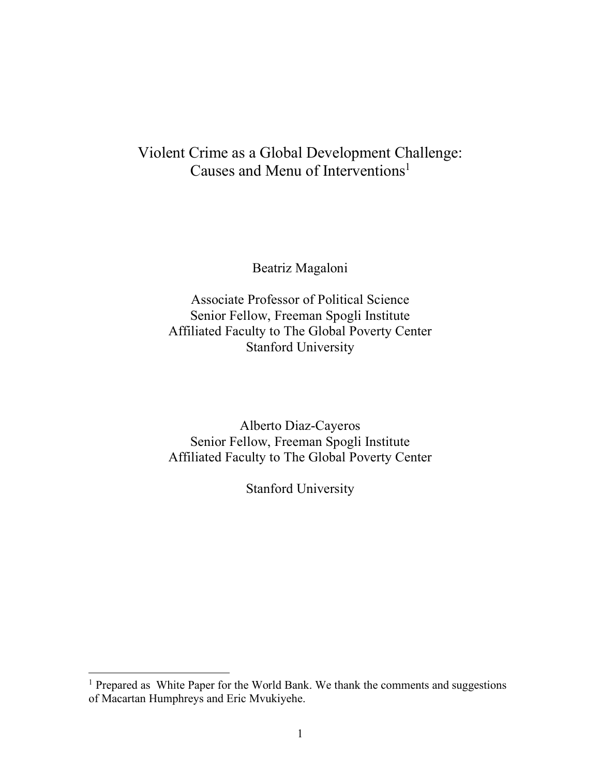# Violent Crime as a Global Development Challenge: Causes and Menu of Interventions<sup>1</sup>

Beatriz Magaloni

Associate Professor of Political Science Senior Fellow, Freeman Spogli Institute Affiliated Faculty to The Global Poverty Center Stanford University

Alberto Diaz-Cayeros Senior Fellow, Freeman Spogli Institute Affiliated Faculty to The Global Poverty Center

Stanford University

<sup>&</sup>lt;sup>1</sup> Prepared as White Paper for the World Bank. We thank the comments and suggestions of Macartan Humphreys and Eric Mvukiyehe.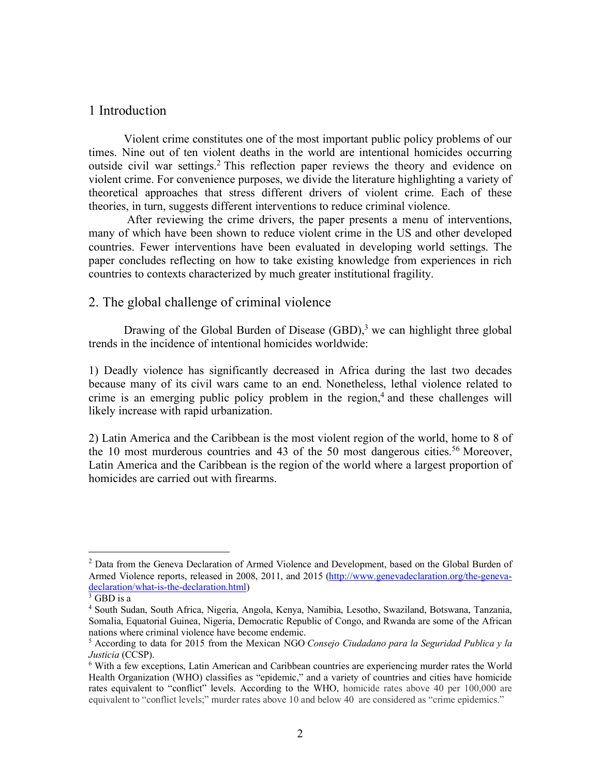# 1 Introduction

Violent crime constitutes one of the most important public policy problems of our times. Nine out of ten violent deaths in the world are intentional homicides occurring outside civil war settings.2 This reflection paper reviews the theory and evidence on violent crime. For convenience purposes, we divide the literature highlighting a variety of theoretical approaches that stress different drivers of violent crime. Each of these theories, in turn, suggests different interventions to reduce criminal violence.

After reviewing the crime drivers, the paper presents a menu of interventions, many of which have been shown to reduce violent crime in the US and other developed countries. Fewer interventions have been evaluated in developing world settings. The paper concludes reflecting on how to take existing knowledge from experiences in rich countries to contexts characterized by much greater institutional fragility.

# 2. The global challenge of criminal violence

Drawing of the Global Burden of Disease  $(GBD)$ ,<sup>3</sup> we can highlight three global trends in the incidence of intentional homicides worldwide:

1) Deadly violence has significantly decreased in Africa during the last two decades because many of its civil wars came to an end. Nonetheless, lethal violence related to crime is an emerging public policy problem in the region, $4$  and these challenges will likely increase with rapid urbanization.

2) Latin America and the Caribbean is the most violent region of the world, home to 8 of the 10 most murderous countries and 43 of the 50 most dangerous cities.<sup>56</sup> Moreover, Latin America and the Caribbean is the region of the world where a largest proportion of homicides are carried out with firearms.

<sup>&</sup>lt;sup>2</sup> Data from the Geneva Declaration of Armed Violence and Development, based on the Global Burden of Armed Violence reports, released in 2008, 2011, and 2015 (http://www.genevadeclaration.org/the-genevadeclaration/what-is-the-declaration.html)

 $3$  GBD is a

<sup>4</sup> South Sudan, South Africa, Nigeria, Angola, Kenya, Namibia, Lesotho, Swaziland, Botswana, Tanzania, Somalia, Equatorial Guinea, Nigeria, Democratic Republic of Congo, and Rwanda are some of the African nations where criminal violence have become endemic.

<sup>5</sup> According to data for 2015 from the Mexican NGO *Consejo Ciudadano para la Seguridad Publica y la Justicia* (CCSP).

<sup>6</sup> With a few exceptions, Latin American and Caribbean countries are experiencing murder rates the World Health Organization (WHO) classifies as "epidemic," and a variety of countries and cities have homicide rates equivalent to "conflict" levels. According to the WHO, homicide rates above 40 per 100,000 are equivalent to "conflict levels;" murder rates above 10 and below 40 are considered as "crime epidemics."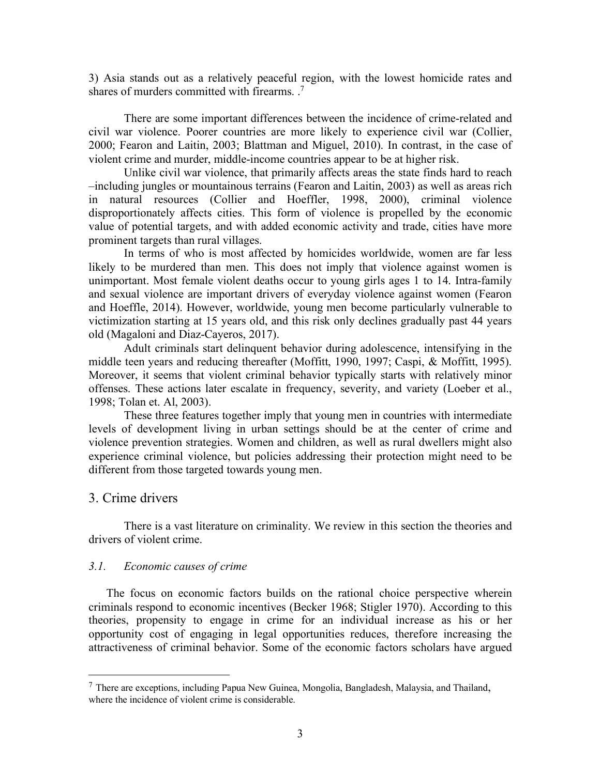3) Asia stands out as a relatively peaceful region, with the lowest homicide rates and shares of murders committed with firearms. . 7

There are some important differences between the incidence of crime-related and civil war violence. Poorer countries are more likely to experience civil war (Collier, 2000; Fearon and Laitin, 2003; Blattman and Miguel, 2010). In contrast, in the case of violent crime and murder, middle-income countries appear to be at higher risk.

Unlike civil war violence, that primarily affects areas the state finds hard to reach –including jungles or mountainous terrains (Fearon and Laitin, 2003) as well as areas rich in natural resources (Collier and Hoeffler, 1998, 2000), criminal violence disproportionately affects cities. This form of violence is propelled by the economic value of potential targets, and with added economic activity and trade, cities have more prominent targets than rural villages.

In terms of who is most affected by homicides worldwide, women are far less likely to be murdered than men. This does not imply that violence against women is unimportant. Most female violent deaths occur to young girls ages 1 to 14. Intra-family and sexual violence are important drivers of everyday violence against women (Fearon and Hoeffle, 2014). However, worldwide, young men become particularly vulnerable to victimization starting at 15 years old, and this risk only declines gradually past 44 years old (Magaloni and Diaz-Cayeros, 2017).

Adult criminals start delinquent behavior during adolescence, intensifying in the middle teen years and reducing thereafter (Moffitt, 1990, 1997; Caspi, & Moffitt, 1995). Moreover, it seems that violent criminal behavior typically starts with relatively minor offenses. These actions later escalate in frequency, severity, and variety (Loeber et al., 1998; Tolan et. Al, 2003).

These three features together imply that young men in countries with intermediate levels of development living in urban settings should be at the center of crime and violence prevention strategies. Women and children, as well as rural dwellers might also experience criminal violence, but policies addressing their protection might need to be different from those targeted towards young men.

### 3. Crime drivers

There is a vast literature on criminality. We review in this section the theories and drivers of violent crime.

#### *3.1. Economic causes of crime*

The focus on economic factors builds on the rational choice perspective wherein criminals respond to economic incentives (Becker 1968; Stigler 1970). According to this theories, propensity to engage in crime for an individual increase as his or her opportunity cost of engaging in legal opportunities reduces, therefore increasing the attractiveness of criminal behavior. Some of the economic factors scholars have argued

 <sup>7</sup> There are exceptions, including Papua New Guinea, Mongolia, Bangladesh, Malaysia, and Thailand, where the incidence of violent crime is considerable.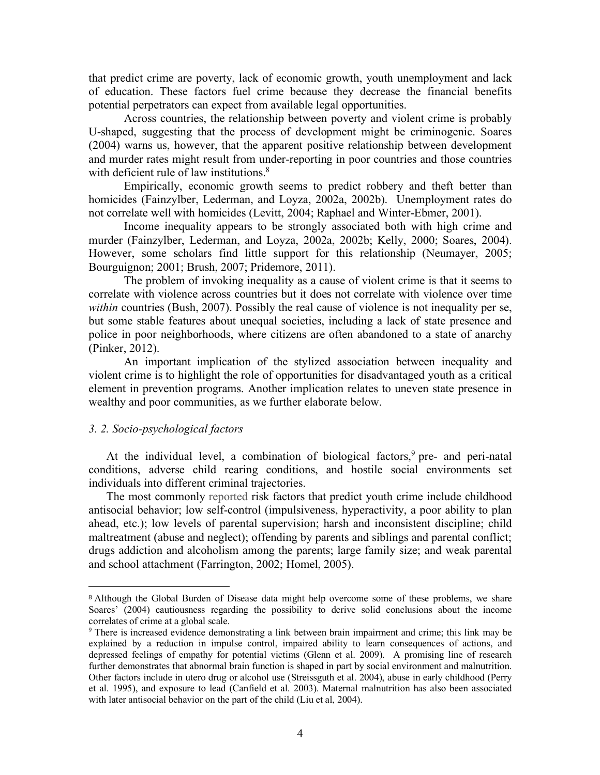that predict crime are poverty, lack of economic growth, youth unemployment and lack of education. These factors fuel crime because they decrease the financial benefits potential perpetrators can expect from available legal opportunities.

Across countries, the relationship between poverty and violent crime is probably U-shaped, suggesting that the process of development might be criminogenic. Soares (2004) warns us, however, that the apparent positive relationship between development and murder rates might result from under-reporting in poor countries and those countries with deficient rule of law institutions.<sup>8</sup>

Empirically, economic growth seems to predict robbery and theft better than homicides (Fainzylber, Lederman, and Loyza, 2002a, 2002b). Unemployment rates do not correlate well with homicides (Levitt, 2004; Raphael and Winter-Ebmer, 2001).

Income inequality appears to be strongly associated both with high crime and murder (Fainzylber, Lederman, and Loyza, 2002a, 2002b; Kelly, 2000; Soares, 2004). However, some scholars find little support for this relationship (Neumayer, 2005; Bourguignon; 2001; Brush, 2007; Pridemore, 2011).

The problem of invoking inequality as a cause of violent crime is that it seems to correlate with violence across countries but it does not correlate with violence over time *within* countries (Bush, 2007). Possibly the real cause of violence is not inequality per se, but some stable features about unequal societies, including a lack of state presence and police in poor neighborhoods, where citizens are often abandoned to a state of anarchy (Pinker, 2012).

An important implication of the stylized association between inequality and violent crime is to highlight the role of opportunities for disadvantaged youth as a critical element in prevention programs. Another implication relates to uneven state presence in wealthy and poor communities, as we further elaborate below.

### *3. 2. Socio-psychological factors*

 $\overline{a}$ 

At the individual level, a combination of biological factors,<sup>9</sup> pre- and peri-natal conditions, adverse child rearing conditions, and hostile social environments set individuals into different criminal trajectories.

The most commonly reported risk factors that predict youth crime include childhood antisocial behavior; low self-control (impulsiveness, hyperactivity, a poor ability to plan ahead, etc.); low levels of parental supervision; harsh and inconsistent discipline; child maltreatment (abuse and neglect); offending by parents and siblings and parental conflict; drugs addiction and alcoholism among the parents; large family size; and weak parental and school attachment (Farrington, 2002; Homel, 2005).

<sup>8</sup> Although the Global Burden of Disease data might help overcome some of these problems, we share Soares' (2004) cautiousness regarding the possibility to derive solid conclusions about the income correlates of crime at a global scale.

<sup>9</sup> There is increased evidence demonstrating a link between brain impairment and crime; this link may be explained by a reduction in impulse control, impaired ability to learn consequences of actions, and depressed feelings of empathy for potential victims (Glenn et al. 2009). A promising line of research further demonstrates that abnormal brain function is shaped in part by social environment and malnutrition. Other factors include in utero drug or alcohol use (Streissguth et al. 2004), abuse in early childhood (Perry et al. 1995), and exposure to lead (Canfield et al. 2003). Maternal malnutrition has also been associated with later antisocial behavior on the part of the child (Liu et al, 2004).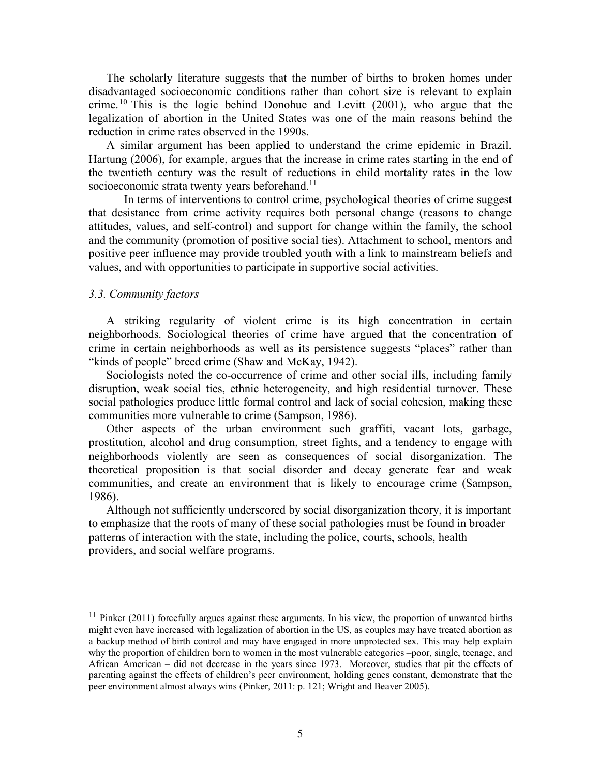The scholarly literature suggests that the number of births to broken homes under disadvantaged socioeconomic conditions rather than cohort size is relevant to explain crime.<sup>10</sup> This is the logic behind Donohue and Levitt  $(2001)$ , who argue that the legalization of abortion in the United States was one of the main reasons behind the reduction in crime rates observed in the 1990s.

A similar argument has been applied to understand the crime epidemic in Brazil. Hartung (2006), for example, argues that the increase in crime rates starting in the end of the twentieth century was the result of reductions in child mortality rates in the low socioeconomic strata twenty years beforehand.<sup>11</sup>

In terms of interventions to control crime, psychological theories of crime suggest that desistance from crime activity requires both personal change (reasons to change attitudes, values, and self-control) and support for change within the family, the school and the community (promotion of positive social ties). Attachment to school, mentors and positive peer influence may provide troubled youth with a link to mainstream beliefs and values, and with opportunities to participate in supportive social activities.

#### *3.3. Community factors*

 $\overline{a}$ 

A striking regularity of violent crime is its high concentration in certain neighborhoods. Sociological theories of crime have argued that the concentration of crime in certain neighborhoods as well as its persistence suggests "places" rather than "kinds of people" breed crime (Shaw and McKay, 1942).

Sociologists noted the co-occurrence of crime and other social ills, including family disruption, weak social ties, ethnic heterogeneity, and high residential turnover. These social pathologies produce little formal control and lack of social cohesion, making these communities more vulnerable to crime (Sampson, 1986).

Other aspects of the urban environment such graffiti, vacant lots, garbage, prostitution, alcohol and drug consumption, street fights, and a tendency to engage with neighborhoods violently are seen as consequences of social disorganization. The theoretical proposition is that social disorder and decay generate fear and weak communities, and create an environment that is likely to encourage crime (Sampson, 1986).

Although not sufficiently underscored by social disorganization theory, it is important to emphasize that the roots of many of these social pathologies must be found in broader patterns of interaction with the state, including the police, courts, schools, health providers, and social welfare programs.

<sup>&</sup>lt;sup>11</sup> Pinker (2011) forcefully argues against these arguments. In his view, the proportion of unwanted births might even have increased with legalization of abortion in the US, as couples may have treated abortion as a backup method of birth control and may have engaged in more unprotected sex. This may help explain why the proportion of children born to women in the most vulnerable categories –poor, single, teenage, and African American – did not decrease in the years since 1973. Moreover, studies that pit the effects of parenting against the effects of children's peer environment, holding genes constant, demonstrate that the peer environment almost always wins (Pinker, 2011: p. 121; Wright and Beaver 2005).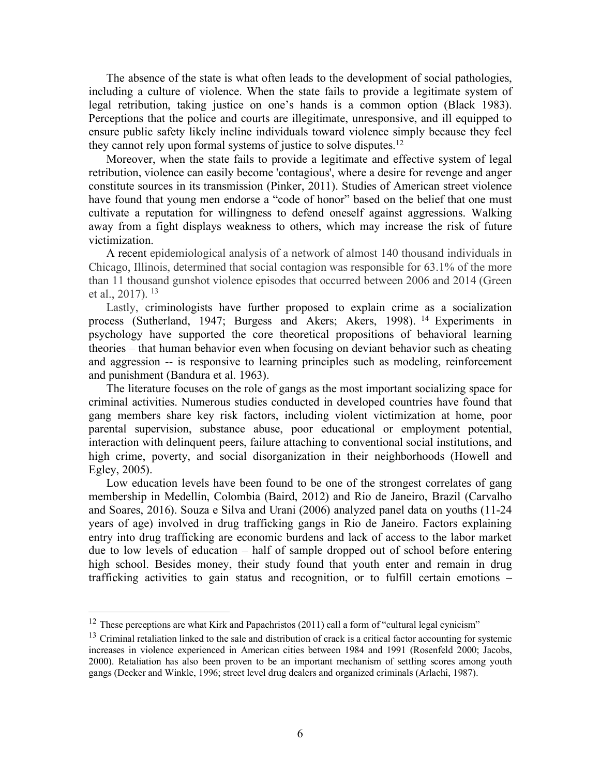The absence of the state is what often leads to the development of social pathologies, including a culture of violence. When the state fails to provide a legitimate system of legal retribution, taking justice on one's hands is a common option (Black 1983). Perceptions that the police and courts are illegitimate, unresponsive, and ill equipped to ensure public safety likely incline individuals toward violence simply because they feel they cannot rely upon formal systems of justice to solve disputes. 12

Moreover, when the state fails to provide a legitimate and effective system of legal retribution, violence can easily become 'contagious', where a desire for revenge and anger constitute sources in its transmission (Pinker, 2011). Studies of American street violence have found that young men endorse a "code of honor" based on the belief that one must cultivate a reputation for willingness to defend oneself against aggressions. Walking away from a fight displays weakness to others, which may increase the risk of future victimization.

A recent epidemiological analysis of a network of almost 140 thousand individuals in Chicago, Illinois, determined that social contagion was responsible for 63.1% of the more than 11 thousand gunshot violence episodes that occurred between 2006 and 2014 (Green et al.,  $2017$ ).  $13$ 

Lastly, criminologists have further proposed to explain crime as a socialization process (Sutherland, 1947; Burgess and Akers; Akers, 1998). 14 Experiments in psychology have supported the core theoretical propositions of behavioral learning theories – that human behavior even when focusing on deviant behavior such as cheating and aggression -- is responsive to learning principles such as modeling, reinforcement and punishment (Bandura et al. 1963).

The literature focuses on the role of gangs as the most important socializing space for criminal activities. Numerous studies conducted in developed countries have found that gang members share key risk factors, including violent victimization at home, poor parental supervision, substance abuse, poor educational or employment potential, interaction with delinquent peers, failure attaching to conventional social institutions, and high crime, poverty, and social disorganization in their neighborhoods (Howell and Egley, 2005).

Low education levels have been found to be one of the strongest correlates of gang membership in Medellín, Colombia (Baird, 2012) and Rio de Janeiro, Brazil (Carvalho and Soares, 2016). Souza e Silva and Urani (2006) analyzed panel data on youths (11-24 years of age) involved in drug trafficking gangs in Rio de Janeiro. Factors explaining entry into drug trafficking are economic burdens and lack of access to the labor market due to low levels of education – half of sample dropped out of school before entering high school. Besides money, their study found that youth enter and remain in drug trafficking activities to gain status and recognition, or to fulfill certain emotions –

<sup>&</sup>lt;sup>12</sup> These perceptions are what Kirk and Papachristos (2011) call a form of "cultural legal cynicism"

 $13$  Criminal retaliation linked to the sale and distribution of crack is a critical factor accounting for systemic increases in violence experienced in American cities between 1984 and 1991 (Rosenfeld 2000; Jacobs, 2000). Retaliation has also been proven to be an important mechanism of settling scores among youth gangs (Decker and Winkle, 1996; street level drug dealers and organized criminals (Arlachi, 1987).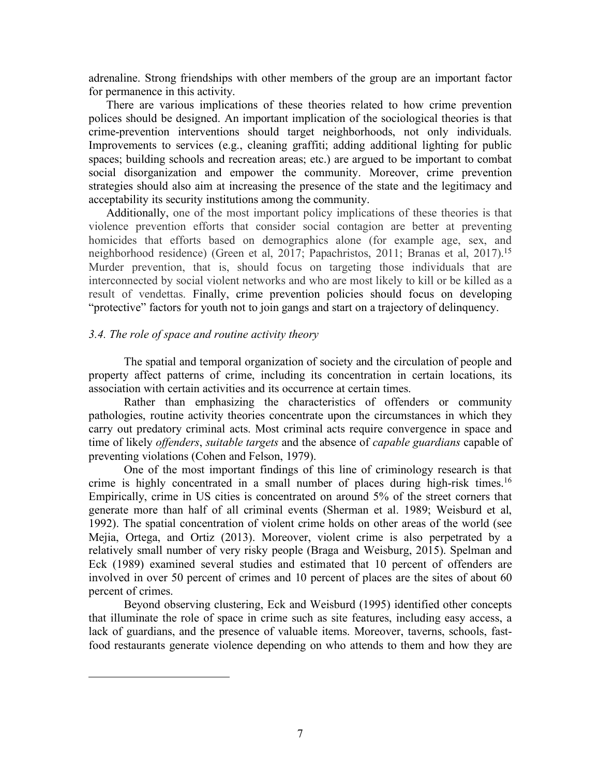adrenaline. Strong friendships with other members of the group are an important factor for permanence in this activity.

There are various implications of these theories related to how crime prevention polices should be designed. An important implication of the sociological theories is that crime-prevention interventions should target neighborhoods, not only individuals. Improvements to services (e.g., cleaning graffiti; adding additional lighting for public spaces; building schools and recreation areas; etc.) are argued to be important to combat social disorganization and empower the community. Moreover, crime prevention strategies should also aim at increasing the presence of the state and the legitimacy and acceptability its security institutions among the community.

Additionally, one of the most important policy implications of these theories is that violence prevention efforts that consider social contagion are better at preventing homicides that efforts based on demographics alone (for example age, sex, and neighborhood residence) (Green et al, 2017; Papachristos, 2011; Branas et al, 2017).<sup>15</sup> Murder prevention, that is, should focus on targeting those individuals that are interconnected by social violent networks and who are most likely to kill or be killed as a result of vendettas. Finally, crime prevention policies should focus on developing "protective" factors for youth not to join gangs and start on a trajectory of delinquency.

#### *3.4. The role of space and routine activity theory*

 $\overline{a}$ 

The spatial and temporal organization of society and the circulation of people and property affect patterns of crime, including its concentration in certain locations, its association with certain activities and its occurrence at certain times.

Rather than emphasizing the characteristics of offenders or community pathologies, routine activity theories concentrate upon the circumstances in which they carry out predatory criminal acts. Most criminal acts require convergence in space and time of likely *offenders*, *suitable targets* and the absence of *capable guardians* capable of preventing violations (Cohen and Felson, 1979).

One of the most important findings of this line of criminology research is that crime is highly concentrated in a small number of places during high-risk times.<sup>16</sup> Empirically, crime in US cities is concentrated on around 5% of the street corners that generate more than half of all criminal events (Sherman et al. 1989; Weisburd et al, 1992). The spatial concentration of violent crime holds on other areas of the world (see Mejia, Ortega, and Ortiz (2013). Moreover, violent crime is also perpetrated by a relatively small number of very risky people (Braga and Weisburg, 2015). Spelman and Eck (1989) examined several studies and estimated that 10 percent of offenders are involved in over 50 percent of crimes and 10 percent of places are the sites of about 60 percent of crimes.

Beyond observing clustering, Eck and Weisburd (1995) identified other concepts that illuminate the role of space in crime such as site features, including easy access, a lack of guardians, and the presence of valuable items. Moreover, taverns, schools, fastfood restaurants generate violence depending on who attends to them and how they are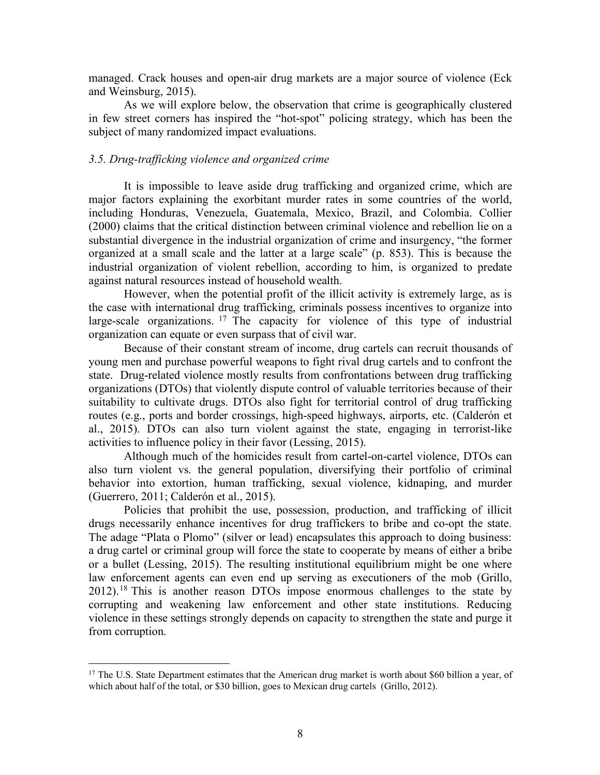managed. Crack houses and open-air drug markets are a major source of violence (Eck and Weinsburg, 2015).

As we will explore below, the observation that crime is geographically clustered in few street corners has inspired the "hot-spot" policing strategy, which has been the subject of many randomized impact evaluations.

#### *3.5. Drug-trafficking violence and organized crime*

It is impossible to leave aside drug trafficking and organized crime, which are major factors explaining the exorbitant murder rates in some countries of the world, including Honduras, Venezuela, Guatemala, Mexico, Brazil, and Colombia. Collier (2000) claims that the critical distinction between criminal violence and rebellion lie on a substantial divergence in the industrial organization of crime and insurgency, "the former organized at a small scale and the latter at a large scale" (p. 853). This is because the industrial organization of violent rebellion, according to him, is organized to predate against natural resources instead of household wealth.

However, when the potential profit of the illicit activity is extremely large, as is the case with international drug trafficking, criminals possess incentives to organize into large-scale organizations. <sup>17</sup> The capacity for violence of this type of industrial organization can equate or even surpass that of civil war.

Because of their constant stream of income, drug cartels can recruit thousands of young men and purchase powerful weapons to fight rival drug cartels and to confront the state. Drug-related violence mostly results from confrontations between drug trafficking organizations (DTOs) that violently dispute control of valuable territories because of their suitability to cultivate drugs. DTOs also fight for territorial control of drug trafficking routes (e.g., ports and border crossings, high-speed highways, airports, etc. (Calderón et al., 2015). DTOs can also turn violent against the state, engaging in terrorist-like activities to influence policy in their favor (Lessing, 2015).

Although much of the homicides result from cartel-on-cartel violence, DTOs can also turn violent vs. the general population, diversifying their portfolio of criminal behavior into extortion, human trafficking, sexual violence, kidnaping, and murder (Guerrero, 2011; Calderón et al., 2015).

Policies that prohibit the use, possession, production, and trafficking of illicit drugs necessarily enhance incentives for drug traffickers to bribe and co-opt the state. The adage "Plata o Plomo" (silver or lead) encapsulates this approach to doing business: a drug cartel or criminal group will force the state to cooperate by means of either a bribe or a bullet (Lessing, 2015). The resulting institutional equilibrium might be one where law enforcement agents can even end up serving as executioners of the mob (Grillo, 2012).18 This is another reason DTOs impose enormous challenges to the state by corrupting and weakening law enforcement and other state institutions. Reducing violence in these settings strongly depends on capacity to strengthen the state and purge it from corruption.

<sup>&</sup>lt;sup>17</sup> The U.S. State Department estimates that the American drug market is worth about \$60 billion a year, of which about half of the total, or \$30 billion, goes to Mexican drug cartels (Grillo, 2012).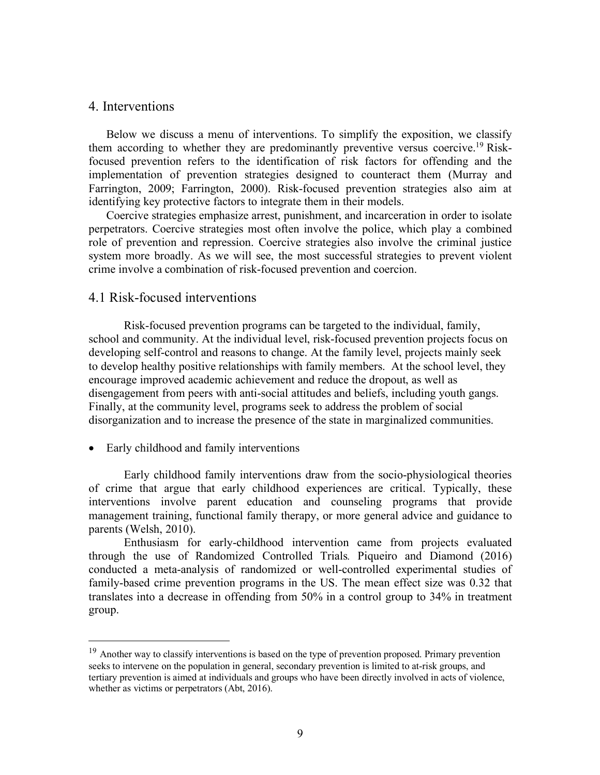### 4. Interventions

Below we discuss a menu of interventions. To simplify the exposition, we classify them according to whether they are predominantly preventive versus coercive.<sup>19</sup> Riskfocused prevention refers to the identification of risk factors for offending and the implementation of prevention strategies designed to counteract them (Murray and Farrington, 2009; Farrington, 2000). Risk-focused prevention strategies also aim at identifying key protective factors to integrate them in their models.

Coercive strategies emphasize arrest, punishment, and incarceration in order to isolate perpetrators. Coercive strategies most often involve the police, which play a combined role of prevention and repression. Coercive strategies also involve the criminal justice system more broadly. As we will see, the most successful strategies to prevent violent crime involve a combination of risk-focused prevention and coercion.

# 4.1 Risk-focused interventions

Risk-focused prevention programs can be targeted to the individual, family, school and community. At the individual level, risk-focused prevention projects focus on developing self-control and reasons to change. At the family level, projects mainly seek to develop healthy positive relationships with family members. At the school level, they encourage improved academic achievement and reduce the dropout, as well as disengagement from peers with anti-social attitudes and beliefs, including youth gangs. Finally, at the community level, programs seek to address the problem of social disorganization and to increase the presence of the state in marginalized communities.

• Early childhood and family interventions

Early childhood family interventions draw from the socio-physiological theories of crime that argue that early childhood experiences are critical. Typically, these interventions involve parent education and counseling programs that provide management training, functional family therapy, or more general advice and guidance to parents (Welsh, 2010).

Enthusiasm for early-childhood intervention came from projects evaluated through the use of Randomized Controlled Trials*.* Piqueiro and Diamond (2016) conducted a meta-analysis of randomized or well-controlled experimental studies of family-based crime prevention programs in the US. The mean effect size was 0.32 that translates into a decrease in offending from 50% in a control group to 34% in treatment group.

<sup>&</sup>lt;sup>19</sup> Another way to classify interventions is based on the type of prevention proposed. Primary prevention seeks to intervene on the population in general, secondary prevention is limited to at-risk groups, and tertiary prevention is aimed at individuals and groups who have been directly involved in acts of violence, whether as victims or perpetrators (Abt, 2016).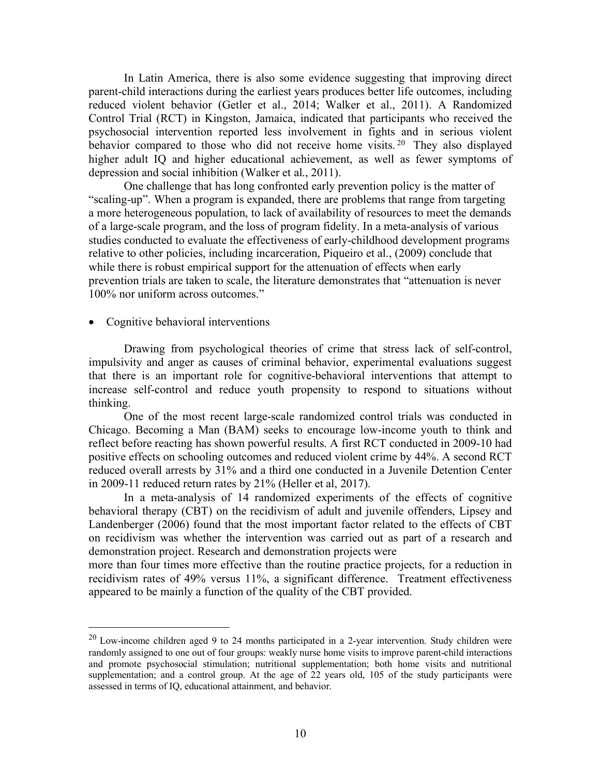In Latin America, there is also some evidence suggesting that improving direct parent-child interactions during the earliest years produces better life outcomes, including reduced violent behavior (Getler et al., 2014; Walker et al., 2011). A Randomized Control Trial (RCT) in Kingston, Jamaica, indicated that participants who received the psychosocial intervention reported less involvement in fights and in serious violent behavior compared to those who did not receive home visits.<sup>20</sup> They also displayed higher adult IQ and higher educational achievement, as well as fewer symptoms of depression and social inhibition (Walker et al., 2011).

One challenge that has long confronted early prevention policy is the matter of "scaling-up". When a program is expanded, there are problems that range from targeting a more heterogeneous population, to lack of availability of resources to meet the demands of a large-scale program, and the loss of program fidelity. In a meta-analysis of various studies conducted to evaluate the effectiveness of early-childhood development programs relative to other policies, including incarceration, Piqueiro et al., (2009) conclude that while there is robust empirical support for the attenuation of effects when early prevention trials are taken to scale, the literature demonstrates that "attenuation is never 100% nor uniform across outcomes."

### • Cognitive behavioral interventions

Drawing from psychological theories of crime that stress lack of self-control, impulsivity and anger as causes of criminal behavior, experimental evaluations suggest that there is an important role for cognitive-behavioral interventions that attempt to increase self-control and reduce youth propensity to respond to situations without thinking.

One of the most recent large-scale randomized control trials was conducted in Chicago. Becoming a Man (BAM) seeks to encourage low-income youth to think and reflect before reacting has shown powerful results. A first RCT conducted in 2009-10 had positive effects on schooling outcomes and reduced violent crime by 44%. A second RCT reduced overall arrests by 31% and a third one conducted in a Juvenile Detention Center in 2009-11 reduced return rates by 21% (Heller et al, 2017).

In a meta-analysis of 14 randomized experiments of the effects of cognitive behavioral therapy (CBT) on the recidivism of adult and juvenile offenders, Lipsey and Landenberger (2006) found that the most important factor related to the effects of CBT on recidivism was whether the intervention was carried out as part of a research and demonstration project. Research and demonstration projects were

more than four times more effective than the routine practice projects, for a reduction in recidivism rates of 49% versus 11%, a significant difference. Treatment effectiveness appeared to be mainly a function of the quality of the CBT provided.

 $^{20}$  Low-income children aged 9 to 24 months participated in a 2-year intervention. Study children were randomly assigned to one out of four groups: weakly nurse home visits to improve parent-child interactions and promote psychosocial stimulation; nutritional supplementation; both home visits and nutritional supplementation; and a control group. At the age of 22 years old, 105 of the study participants were assessed in terms of IQ, educational attainment, and behavior.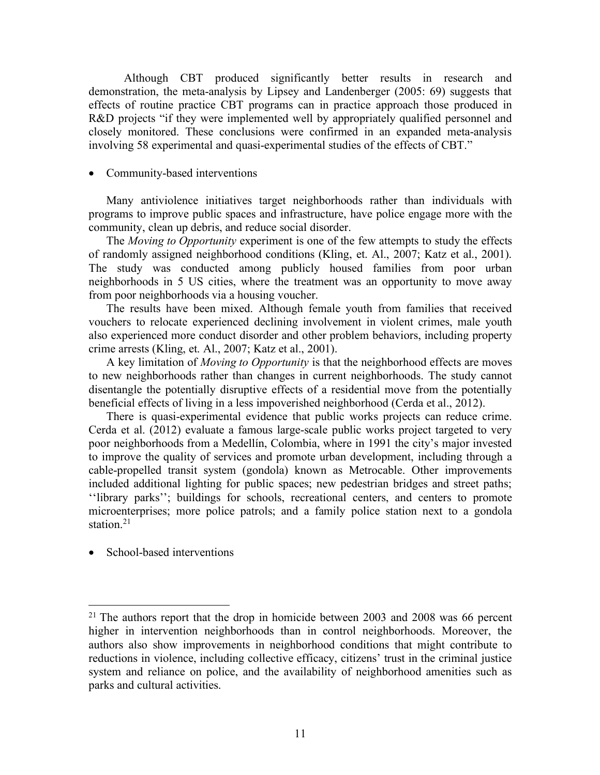Although CBT produced significantly better results in research and demonstration, the meta-analysis by Lipsey and Landenberger (2005: 69) suggests that effects of routine practice CBT programs can in practice approach those produced in R&D projects "if they were implemented well by appropriately qualified personnel and closely monitored. These conclusions were confirmed in an expanded meta-analysis involving 58 experimental and quasi-experimental studies of the effects of CBT."

#### • Community-based interventions

Many antiviolence initiatives target neighborhoods rather than individuals with programs to improve public spaces and infrastructure, have police engage more with the community, clean up debris, and reduce social disorder.

The *Moving to Opportunity* experiment is one of the few attempts to study the effects of randomly assigned neighborhood conditions (Kling, et. Al., 2007; Katz et al., 2001). The study was conducted among publicly housed families from poor urban neighborhoods in 5 US cities, where the treatment was an opportunity to move away from poor neighborhoods via a housing voucher.

The results have been mixed. Although female youth from families that received vouchers to relocate experienced declining involvement in violent crimes, male youth also experienced more conduct disorder and other problem behaviors, including property crime arrests (Kling, et. Al., 2007; Katz et al., 2001).

A key limitation of *Moving to Opportunity* is that the neighborhood effects are moves to new neighborhoods rather than changes in current neighborhoods. The study cannot disentangle the potentially disruptive effects of a residential move from the potentially beneficial effects of living in a less impoverished neighborhood (Cerda et al., 2012).

There is quasi-experimental evidence that public works projects can reduce crime. Cerda et al. (2012) evaluate a famous large-scale public works project targeted to very poor neighborhoods from a Medellín, Colombia, where in 1991 the city's major invested to improve the quality of services and promote urban development, including through a cable-propelled transit system (gondola) known as Metrocable. Other improvements included additional lighting for public spaces; new pedestrian bridges and street paths; ''library parks''; buildings for schools, recreational centers, and centers to promote microenterprises; more police patrols; and a family police station next to a gondola station. 21

• School-based interventions

 $21$  The authors report that the drop in homicide between 2003 and 2008 was 66 percent higher in intervention neighborhoods than in control neighborhoods. Moreover, the authors also show improvements in neighborhood conditions that might contribute to reductions in violence, including collective efficacy, citizens' trust in the criminal justice system and reliance on police, and the availability of neighborhood amenities such as parks and cultural activities.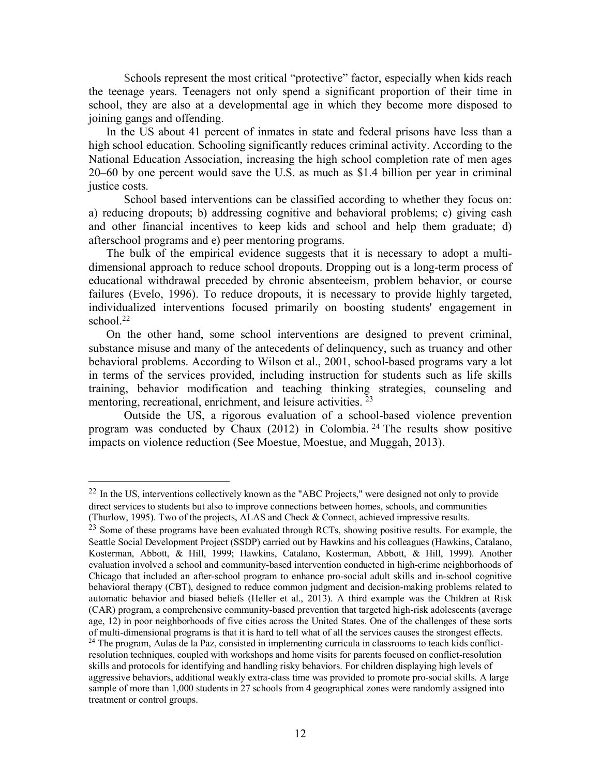Schools represent the most critical "protective" factor, especially when kids reach the teenage years. Teenagers not only spend a significant proportion of their time in school, they are also at a developmental age in which they become more disposed to joining gangs and offending.

In the US about 41 percent of inmates in state and federal prisons have less than a high school education. Schooling significantly reduces criminal activity. According to the National Education Association, increasing the high school completion rate of men ages 20–60 by one percent would save the U.S. as much as \$1.4 billion per year in criminal justice costs.

School based interventions can be classified according to whether they focus on: a) reducing dropouts; b) addressing cognitive and behavioral problems; c) giving cash and other financial incentives to keep kids and school and help them graduate; d) afterschool programs and e) peer mentoring programs.

The bulk of the empirical evidence suggests that it is necessary to adopt a multidimensional approach to reduce school dropouts. Dropping out is a long-term process of educational withdrawal preceded by chronic absenteeism, problem behavior, or course failures (Evelo, 1996). To reduce dropouts, it is necessary to provide highly targeted, individualized interventions focused primarily on boosting students' engagement in school.<sup>22</sup>

On the other hand, some school interventions are designed to prevent criminal, substance misuse and many of the antecedents of delinquency, such as truancy and other behavioral problems. According to Wilson et al., 2001, school-based programs vary a lot in terms of the services provided, including instruction for students such as life skills training, behavior modification and teaching thinking strategies, counseling and mentoring, recreational, enrichment, and leisure activities. <sup>23</sup>

Outside the US, a rigorous evaluation of a school-based violence prevention program was conducted by Chaux  $(2012)$  in Colombia. <sup>24</sup> The results show positive impacts on violence reduction (See Moestue, Moestue, and Muggah, 2013).

<sup>&</sup>lt;sup>22</sup> In the US, interventions collectively known as the "ABC Projects," were designed not only to provide direct services to students but also to improve connections between homes, schools, and communities (Thurlow, 1995). Two of the projects, ALAS and Check & Connect, achieved impressive results.

<sup>&</sup>lt;sup>23</sup> Some of these programs have been evaluated through RCTs, showing positive results. For example, the Seattle Social Development Project (SSDP) carried out by Hawkins and his colleagues (Hawkins, Catalano, Kosterman, Abbott, & Hill, 1999; Hawkins, Catalano, Kosterman, Abbott, & Hill, 1999). Another evaluation involved a school and community-based intervention conducted in high-crime neighborhoods of Chicago that included an after-school program to enhance pro-social adult skills and in-school cognitive behavioral therapy (CBT), designed to reduce common judgment and decision-making problems related to automatic behavior and biased beliefs (Heller et al., 2013). A third example was the Children at Risk (CAR) program, a comprehensive community-based prevention that targeted high-risk adolescents (average age, 12) in poor neighborhoods of five cities across the United States. One of the challenges of these sorts of multi-dimensional programs is that it is hard to tell what of all the services causes the strongest effects. <sup>24</sup> The program, Aulas de la Paz, consisted in implementing curricula in classrooms to teach kids conflictresolution techniques, coupled with workshops and home visits for parents focused on conflict-resolution skills and protocols for identifying and handling risky behaviors. For children displaying high levels of aggressive behaviors, additional weakly extra-class time was provided to promote pro-social skills. A large sample of more than 1,000 students in 27 schools from 4 geographical zones were randomly assigned into treatment or control groups.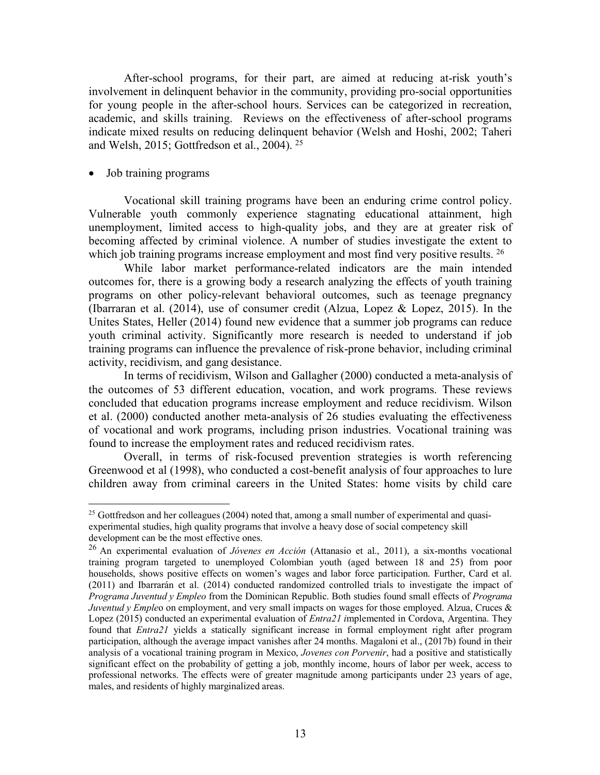After-school programs, for their part, are aimed at reducing at-risk youth's involvement in delinquent behavior in the community, providing pro-social opportunities for young people in the after-school hours. Services can be categorized in recreation, academic, and skills training. Reviews on the effectiveness of after-school programs indicate mixed results on reducing delinquent behavior (Welsh and Hoshi, 2002; Taheri and Welsh, 2015; Gottfredson et al., 2004). 25

#### • Job training programs

Vocational skill training programs have been an enduring crime control policy. Vulnerable youth commonly experience stagnating educational attainment, high unemployment, limited access to high-quality jobs, and they are at greater risk of becoming affected by criminal violence. A number of studies investigate the extent to which job training programs increase employment and most find very positive results. <sup>26</sup>

While labor market performance-related indicators are the main intended outcomes for, there is a growing body a research analyzing the effects of youth training programs on other policy-relevant behavioral outcomes, such as teenage pregnancy (Ibarraran et al. (2014), use of consumer credit (Alzua, Lopez & Lopez, 2015). In the Unites States, Heller (2014) found new evidence that a summer job programs can reduce youth criminal activity. Significantly more research is needed to understand if job training programs can influence the prevalence of risk-prone behavior, including criminal activity, recidivism, and gang desistance.

In terms of recidivism, Wilson and Gallagher (2000) conducted a meta-analysis of the outcomes of 53 different education, vocation, and work programs. These reviews concluded that education programs increase employment and reduce recidivism. Wilson et al. (2000) conducted another meta-analysis of 26 studies evaluating the effectiveness of vocational and work programs, including prison industries. Vocational training was found to increase the employment rates and reduced recidivism rates.

Overall, in terms of risk-focused prevention strategies is worth referencing Greenwood et al (1998), who conducted a cost-benefit analysis of four approaches to lure children away from criminal careers in the United States: home visits by child care

<sup>&</sup>lt;sup>25</sup> Gottfredson and her colleagues (2004) noted that, among a small number of experimental and quasiexperimental studies, high quality programs that involve a heavy dose of social competency skill development can be the most effective ones.

<sup>26</sup> An experimental evaluation of *Jóvenes en Acción* (Attanasio et al., 2011), a six-months vocational training program targeted to unemployed Colombian youth (aged between 18 and 25) from poor households, shows positive effects on women's wages and labor force participation. Further, Card et al. (2011) and Ibarrarán et al. (2014) conducted randomized controlled trials to investigate the impact of *Programa Juventud y Empleo* from the Dominican Republic. Both studies found small effects of *Programa Juventud y Empleo* on employment, and very small impacts on wages for those employed. Alzua, Cruces & Lopez (2015) conducted an experimental evaluation of *Entra21 i*mplemented in Cordova, Argentina. They found that *Entra21* yields a statically significant increase in formal employment right after program participation, although the average impact vanishes after 24 months. Magaloni et al., (2017b) found in their analysis of a vocational training program in Mexico, *Jovenes con Porvenir*, had a positive and statistically significant effect on the probability of getting a job, monthly income, hours of labor per week, access to professional networks. The effects were of greater magnitude among participants under 23 years of age, males, and residents of highly marginalized areas.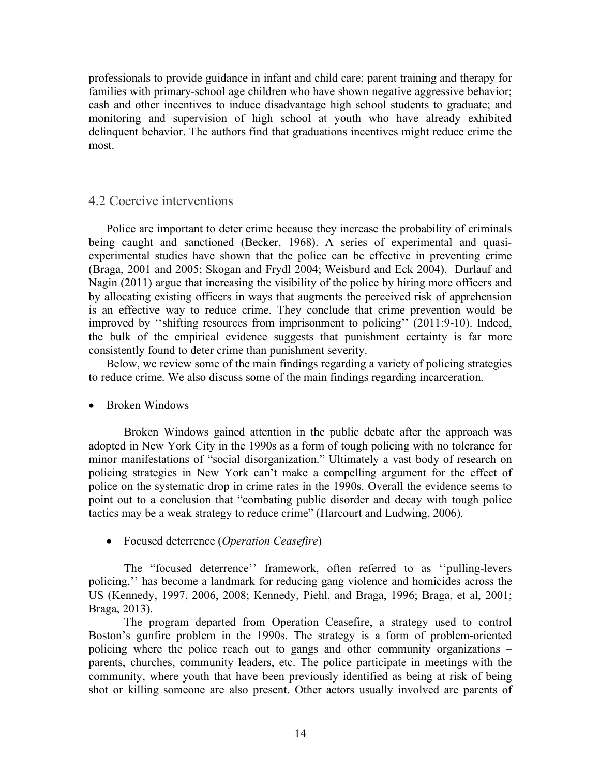professionals to provide guidance in infant and child care; parent training and therapy for families with primary-school age children who have shown negative aggressive behavior; cash and other incentives to induce disadvantage high school students to graduate; and monitoring and supervision of high school at youth who have already exhibited delinquent behavior. The authors find that graduations incentives might reduce crime the most.

# 4.2 Coercive interventions

Police are important to deter crime because they increase the probability of criminals being caught and sanctioned (Becker, 1968). A series of experimental and quasiexperimental studies have shown that the police can be effective in preventing crime (Braga, 2001 and 2005; Skogan and Frydl 2004; Weisburd and Eck 2004). Durlauf and Nagin (2011) argue that increasing the visibility of the police by hiring more officers and by allocating existing officers in ways that augments the perceived risk of apprehension is an effective way to reduce crime. They conclude that crime prevention would be improved by ''shifting resources from imprisonment to policing'' (2011:9-10). Indeed, the bulk of the empirical evidence suggests that punishment certainty is far more consistently found to deter crime than punishment severity.

Below, we review some of the main findings regarding a variety of policing strategies to reduce crime. We also discuss some of the main findings regarding incarceration.

### • Broken Windows

Broken Windows gained attention in the public debate after the approach was adopted in New York City in the 1990s as a form of tough policing with no tolerance for minor manifestations of "social disorganization." Ultimately a vast body of research on policing strategies in New York can't make a compelling argument for the effect of police on the systematic drop in crime rates in the 1990s. Overall the evidence seems to point out to a conclusion that "combating public disorder and decay with tough police tactics may be a weak strategy to reduce crime" (Harcourt and Ludwing, 2006).

• Focused deterrence (*Operation Ceasefire*)

The "focused deterrence'' framework, often referred to as ''pulling-levers policing,'' has become a landmark for reducing gang violence and homicides across the US (Kennedy, 1997, 2006, 2008; Kennedy, Piehl, and Braga, 1996; Braga, et al, 2001; Braga, 2013).

The program departed from Operation Ceasefire, a strategy used to control Boston's gunfire problem in the 1990s. The strategy is a form of problem-oriented policing where the police reach out to gangs and other community organizations – parents, churches, community leaders, etc. The police participate in meetings with the community, where youth that have been previously identified as being at risk of being shot or killing someone are also present. Other actors usually involved are parents of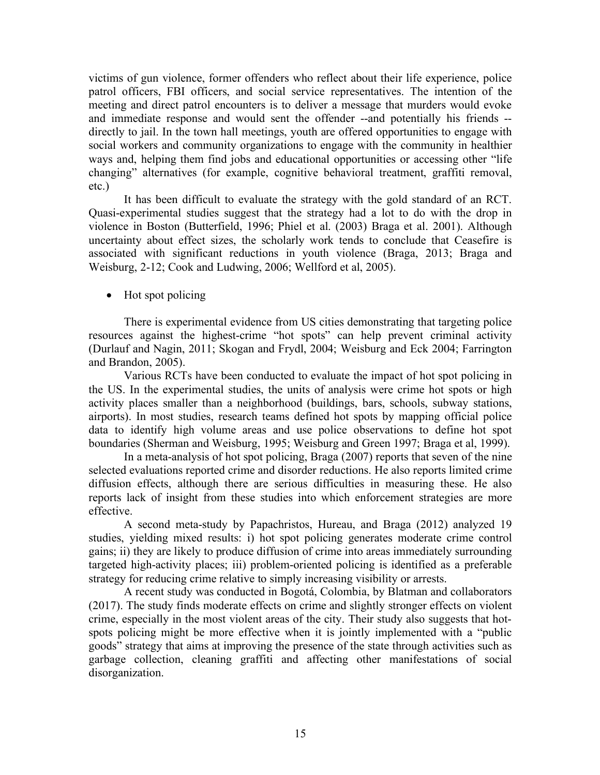victims of gun violence, former offenders who reflect about their life experience, police patrol officers, FBI officers, and social service representatives. The intention of the meeting and direct patrol encounters is to deliver a message that murders would evoke and immediate response and would sent the offender --and potentially his friends - directly to jail. In the town hall meetings, youth are offered opportunities to engage with social workers and community organizations to engage with the community in healthier ways and, helping them find jobs and educational opportunities or accessing other "life changing" alternatives (for example, cognitive behavioral treatment, graffiti removal, etc.)

It has been difficult to evaluate the strategy with the gold standard of an RCT. Quasi-experimental studies suggest that the strategy had a lot to do with the drop in violence in Boston (Butterfield, 1996; Phiel et al. (2003) Braga et al. 2001). Although uncertainty about effect sizes, the scholarly work tends to conclude that Ceasefire is associated with significant reductions in youth violence (Braga, 2013; Braga and Weisburg, 2-12; Cook and Ludwing, 2006; Wellford et al, 2005).

• Hot spot policing

There is experimental evidence from US cities demonstrating that targeting police resources against the highest-crime "hot spots" can help prevent criminal activity (Durlauf and Nagin, 2011; Skogan and Frydl, 2004; Weisburg and Eck 2004; Farrington and Brandon, 2005).

Various RCTs have been conducted to evaluate the impact of hot spot policing in the US. In the experimental studies, the units of analysis were crime hot spots or high activity places smaller than a neighborhood (buildings, bars, schools, subway stations, airports). In most studies, research teams defined hot spots by mapping official police data to identify high volume areas and use police observations to define hot spot boundaries (Sherman and Weisburg, 1995; Weisburg and Green 1997; Braga et al, 1999).

In a meta-analysis of hot spot policing, Braga (2007) reports that seven of the nine selected evaluations reported crime and disorder reductions. He also reports limited crime diffusion effects, although there are serious difficulties in measuring these. He also reports lack of insight from these studies into which enforcement strategies are more effective.

A second meta-study by Papachristos, Hureau, and Braga (2012) analyzed 19 studies, yielding mixed results: i) hot spot policing generates moderate crime control gains; ii) they are likely to produce diffusion of crime into areas immediately surrounding targeted high-activity places; iii) problem-oriented policing is identified as a preferable strategy for reducing crime relative to simply increasing visibility or arrests.

A recent study was conducted in Bogotá, Colombia, by Blatman and collaborators (2017). The study finds moderate effects on crime and slightly stronger effects on violent crime, especially in the most violent areas of the city. Their study also suggests that hotspots policing might be more effective when it is jointly implemented with a "public goods" strategy that aims at improving the presence of the state through activities such as garbage collection, cleaning graffiti and affecting other manifestations of social disorganization.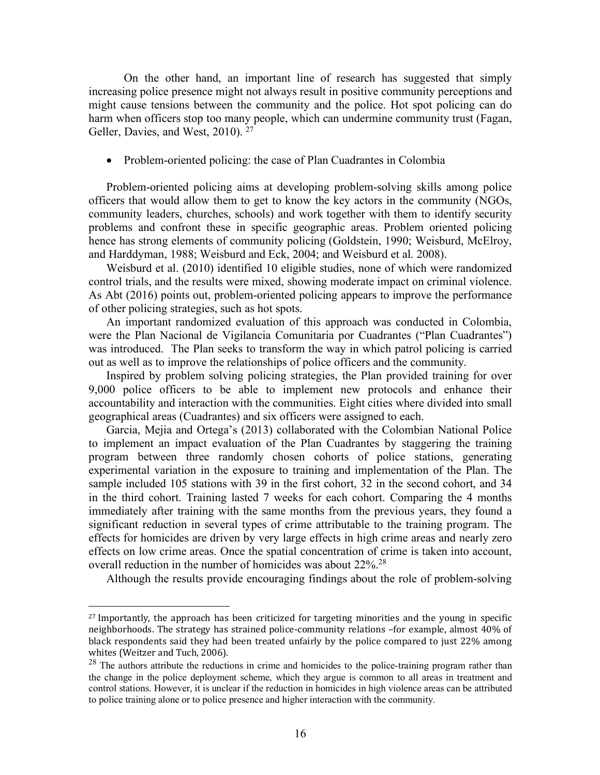On the other hand, an important line of research has suggested that simply increasing police presence might not always result in positive community perceptions and might cause tensions between the community and the police. Hot spot policing can do harm when officers stop too many people, which can undermine community trust (Fagan, Geller, Davies, and West, 2010). <sup>27</sup>

• Problem-oriented policing: the case of Plan Cuadrantes in Colombia

Problem-oriented policing aims at developing problem-solving skills among police officers that would allow them to get to know the key actors in the community (NGOs, community leaders, churches, schools) and work together with them to identify security problems and confront these in specific geographic areas. Problem oriented policing hence has strong elements of community policing (Goldstein, 1990; Weisburd, McElroy, and Harddyman, 1988; Weisburd and Eck, 2004; and Weisburd et al. 2008).

Weisburd et al. (2010) identified 10 eligible studies, none of which were randomized control trials, and the results were mixed, showing moderate impact on criminal violence. As Abt (2016) points out, problem-oriented policing appears to improve the performance of other policing strategies, such as hot spots.

An important randomized evaluation of this approach was conducted in Colombia, were the Plan Nacional de Vigilancia Comunitaria por Cuadrantes ("Plan Cuadrantes") was introduced. The Plan seeks to transform the way in which patrol policing is carried out as well as to improve the relationships of police officers and the community.

Inspired by problem solving policing strategies, the Plan provided training for over 9,000 police officers to be able to implement new protocols and enhance their accountability and interaction with the communities. Eight cities where divided into small geographical areas (Cuadrantes) and six officers were assigned to each.

Garcia, Mejia and Ortega's (2013) collaborated with the Colombian National Police to implement an impact evaluation of the Plan Cuadrantes by staggering the training program between three randomly chosen cohorts of police stations, generating experimental variation in the exposure to training and implementation of the Plan. The sample included 105 stations with 39 in the first cohort, 32 in the second cohort, and 34 in the third cohort. Training lasted 7 weeks for each cohort. Comparing the 4 months immediately after training with the same months from the previous years, they found a significant reduction in several types of crime attributable to the training program. The effects for homicides are driven by very large effects in high crime areas and nearly zero effects on low crime areas. Once the spatial concentration of crime is taken into account, overall reduction in the number of homicides was about 22%.28

Although the results provide encouraging findings about the role of problem-solving

 $\overline{a}$ 

<sup>&</sup>lt;sup>27</sup> Importantly, the approach has been criticized for targeting minorities and the young in specific neighborhoods. The strategy has strained police-community relations -for example, almost 40% of black respondents said they had been treated unfairly by the police compared to just 22% among whites (Weitzer and Tuch, 2006).

<sup>&</sup>lt;sup>28</sup> The authors attribute the reductions in crime and homicides to the police-training program rather than the change in the police deployment scheme, which they argue is common to all areas in treatment and control stations. However, it is unclear if the reduction in homicides in high violence areas can be attributed to police training alone or to police presence and higher interaction with the community.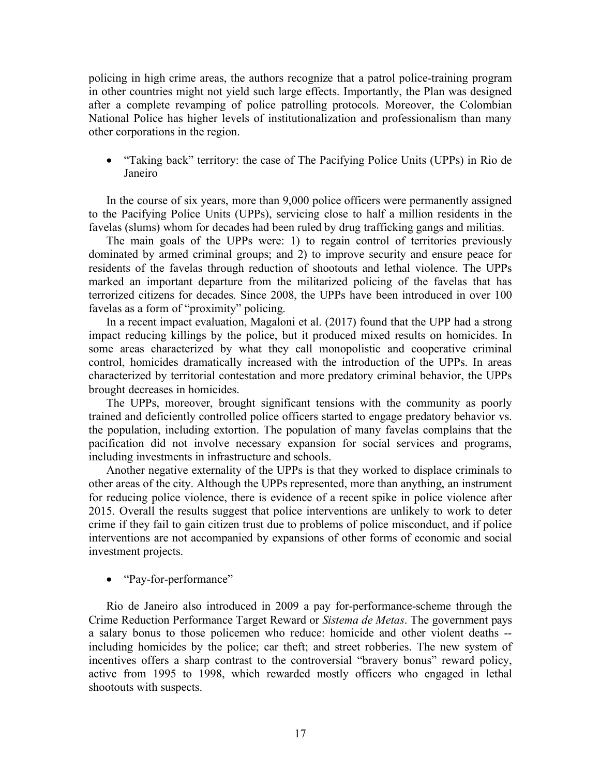policing in high crime areas, the authors recognize that a patrol police-training program in other countries might not yield such large effects. Importantly, the Plan was designed after a complete revamping of police patrolling protocols. Moreover, the Colombian National Police has higher levels of institutionalization and professionalism than many other corporations in the region.

• "Taking back" territory: the case of The Pacifying Police Units (UPPs) in Rio de Janeiro

In the course of six years, more than 9,000 police officers were permanently assigned to the Pacifying Police Units (UPPs), servicing close to half a million residents in the favelas (slums) whom for decades had been ruled by drug trafficking gangs and militias.

The main goals of the UPPs were: 1) to regain control of territories previously dominated by armed criminal groups; and 2) to improve security and ensure peace for residents of the favelas through reduction of shootouts and lethal violence. The UPPs marked an important departure from the militarized policing of the favelas that has terrorized citizens for decades. Since 2008, the UPPs have been introduced in over 100 favelas as a form of "proximity" policing.

In a recent impact evaluation, Magaloni et al. (2017) found that the UPP had a strong impact reducing killings by the police, but it produced mixed results on homicides. In some areas characterized by what they call monopolistic and cooperative criminal control, homicides dramatically increased with the introduction of the UPPs. In areas characterized by territorial contestation and more predatory criminal behavior, the UPPs brought decreases in homicides.

The UPPs, moreover, brought significant tensions with the community as poorly trained and deficiently controlled police officers started to engage predatory behavior vs. the population, including extortion. The population of many favelas complains that the pacification did not involve necessary expansion for social services and programs, including investments in infrastructure and schools.

Another negative externality of the UPPs is that they worked to displace criminals to other areas of the city. Although the UPPs represented, more than anything, an instrument for reducing police violence, there is evidence of a recent spike in police violence after 2015. Overall the results suggest that police interventions are unlikely to work to deter crime if they fail to gain citizen trust due to problems of police misconduct, and if police interventions are not accompanied by expansions of other forms of economic and social investment projects.

• "Pay-for-performance"

Rio de Janeiro also introduced in 2009 a pay for-performance-scheme through the Crime Reduction Performance Target Reward or *Sistema de Metas*. The government pays a salary bonus to those policemen who reduce: homicide and other violent deaths - including homicides by the police; car theft; and street robberies. The new system of incentives offers a sharp contrast to the controversial "bravery bonus" reward policy, active from 1995 to 1998, which rewarded mostly officers who engaged in lethal shootouts with suspects.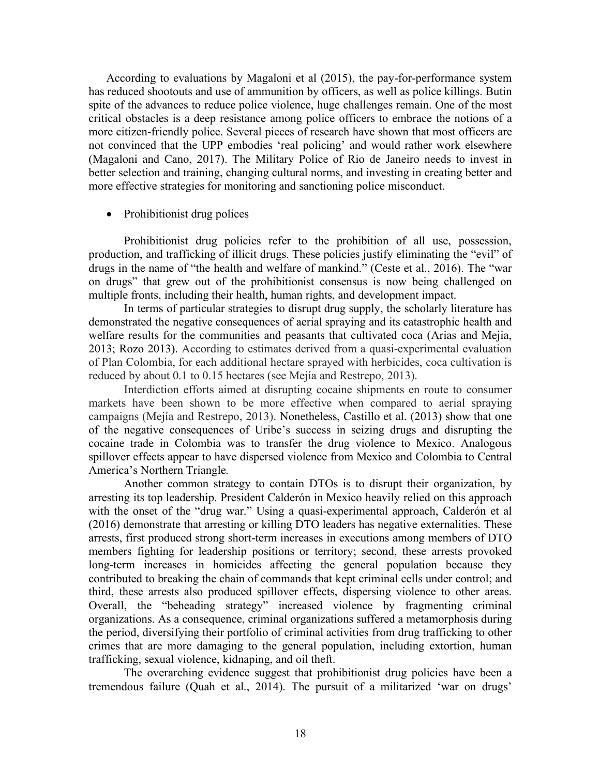According to evaluations by Magaloni et al (2015), the pay-for-performance system has reduced shootouts and use of ammunition by officers, as well as police killings. Butin spite of the advances to reduce police violence, huge challenges remain. One of the most critical obstacles is a deep resistance among police officers to embrace the notions of a more citizen-friendly police. Several pieces of research have shown that most officers are not convinced that the UPP embodies 'real policing' and would rather work elsewhere (Magaloni and Cano, 2017). The Military Police of Rio de Janeiro needs to invest in better selection and training, changing cultural norms, and investing in creating better and more effective strategies for monitoring and sanctioning police misconduct.

#### • Prohibitionist drug polices

Prohibitionist drug policies refer to the prohibition of all use, possession, production, and trafficking of illicit drugs. These policies justify eliminating the "evil" of drugs in the name of "the health and welfare of mankind." (Ceste et al., 2016). The "war on drugs" that grew out of the prohibitionist consensus is now being challenged on multiple fronts, including their health, human rights, and development impact.

In terms of particular strategies to disrupt drug supply, the scholarly literature has demonstrated the negative consequences of aerial spraying and its catastrophic health and welfare results for the communities and peasants that cultivated coca (Arias and Mejia, 2013; Rozo 2013). According to estimates derived from a quasi-experimental evaluation of Plan Colombia, for each additional hectare sprayed with herbicides, coca cultivation is reduced by about 0.1 to 0.15 hectares (see Mejía and Restrepo, 2013).

Interdiction efforts aimed at disrupting cocaine shipments en route to consumer markets have been shown to be more effective when compared to aerial spraying campaigns (Mejía and Restrepo, 2013). Nonetheless, Castillo et al. (2013) show that one of the negative consequences of Uribe's success in seizing drugs and disrupting the cocaine trade in Colombia was to transfer the drug violence to Mexico. Analogous spillover effects appear to have dispersed violence from Mexico and Colombia to Central America's Northern Triangle.

Another common strategy to contain DTOs is to disrupt their organization, by arresting its top leadership. President Calderón in Mexico heavily relied on this approach with the onset of the "drug war." Using a quasi-experimental approach, Calderón et al (2016) demonstrate that arresting or killing DTO leaders has negative externalities. These arrests, first produced strong short-term increases in executions among members of DTO members fighting for leadership positions or territory; second, these arrests provoked long-term increases in homicides affecting the general population because they contributed to breaking the chain of commands that kept criminal cells under control; and third, these arrests also produced spillover effects, dispersing violence to other areas. Overall, the "beheading strategy" increased violence by fragmenting criminal organizations. As a consequence, criminal organizations suffered a metamorphosis during the period, diversifying their portfolio of criminal activities from drug trafficking to other crimes that are more damaging to the general population, including extortion, human trafficking, sexual violence, kidnaping, and oil theft.

The overarching evidence suggest that prohibitionist drug policies have been a tremendous failure (Quah et al., 2014). The pursuit of a militarized 'war on drugs'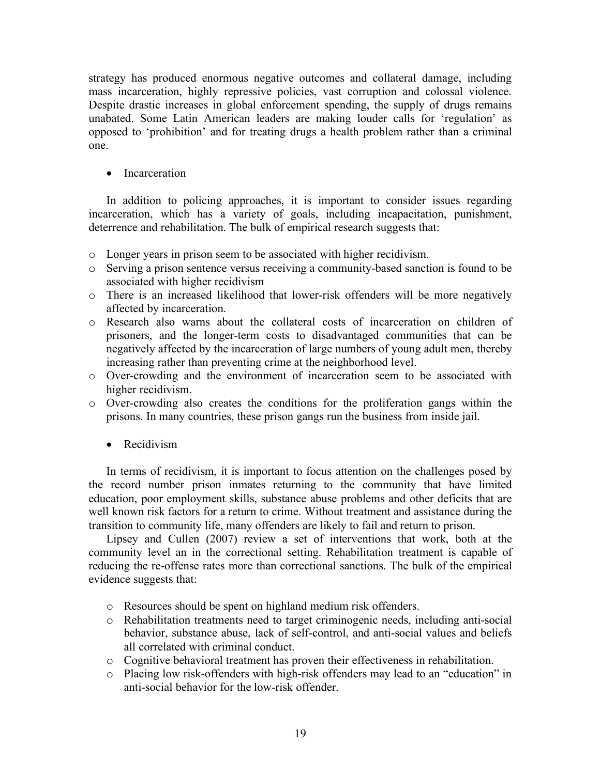strategy has produced enormous negative outcomes and collateral damage, including mass incarceration, highly repressive policies, vast corruption and colossal violence. Despite drastic increases in global enforcement spending, the supply of drugs remains unabated. Some Latin American leaders are making louder calls for 'regulation' as opposed to 'prohibition' and for treating drugs a health problem rather than a criminal one.

• Incarceration

In addition to policing approaches, it is important to consider issues regarding incarceration, which has a variety of goals, including incapacitation, punishment, deterrence and rehabilitation. The bulk of empirical research suggests that:

- o Longer years in prison seem to be associated with higher recidivism.
- o Serving a prison sentence versus receiving a community-based sanction is found to be associated with higher recidivism
- o There is an increased likelihood that lower-risk offenders will be more negatively affected by incarceration.
- o Research also warns about the collateral costs of incarceration on children of prisoners, and the longer-term costs to disadvantaged communities that can be negatively affected by the incarceration of large numbers of young adult men, thereby increasing rather than preventing crime at the neighborhood level.
- o Over-crowding and the environment of incarceration seem to be associated with higher recidivism.
- o Over-crowding also creates the conditions for the proliferation gangs within the prisons. In many countries, these prison gangs run the business from inside jail.
	- Recidivism

In terms of recidivism, it is important to focus attention on the challenges posed by the record number prison inmates returning to the community that have limited education, poor employment skills, substance abuse problems and other deficits that are well known risk factors for a return to crime. Without treatment and assistance during the transition to community life, many offenders are likely to fail and return to prison.

Lipsey and Cullen (2007) review a set of interventions that work, both at the community level an in the correctional setting. Rehabilitation treatment is capable of reducing the re-offense rates more than correctional sanctions. The bulk of the empirical evidence suggests that:

- o Resources should be spent on highland medium risk offenders.
- o Rehabilitation treatments need to target criminogenic needs, including anti-social behavior, substance abuse, lack of self-control, and anti-social values and beliefs all correlated with criminal conduct.
- o Cognitive behavioral treatment has proven their effectiveness in rehabilitation.
- o Placing low risk-offenders with high-risk offenders may lead to an "education" in anti-social behavior for the low-risk offender.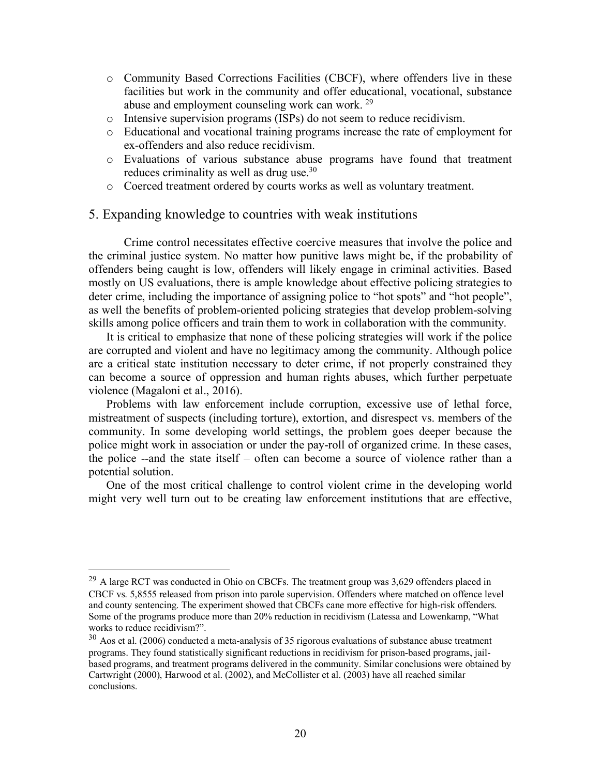- o Community Based Corrections Facilities (CBCF), where offenders live in these facilities but work in the community and offer educational, vocational, substance abuse and employment counseling work can work. 29
- o Intensive supervision programs (ISPs) do not seem to reduce recidivism.
- o Educational and vocational training programs increase the rate of employment for ex-offenders and also reduce recidivism.
- o Evaluations of various substance abuse programs have found that treatment reduces criminality as well as drug use.<sup>30</sup>
- o Coerced treatment ordered by courts works as well as voluntary treatment.

### 5. Expanding knowledge to countries with weak institutions

Crime control necessitates effective coercive measures that involve the police and the criminal justice system. No matter how punitive laws might be, if the probability of offenders being caught is low, offenders will likely engage in criminal activities. Based mostly on US evaluations, there is ample knowledge about effective policing strategies to deter crime, including the importance of assigning police to "hot spots" and "hot people", as well the benefits of problem-oriented policing strategies that develop problem-solving skills among police officers and train them to work in collaboration with the community.

It is critical to emphasize that none of these policing strategies will work if the police are corrupted and violent and have no legitimacy among the community. Although police are a critical state institution necessary to deter crime, if not properly constrained they can become a source of oppression and human rights abuses, which further perpetuate violence (Magaloni et al., 2016).

Problems with law enforcement include corruption, excessive use of lethal force, mistreatment of suspects (including torture), extortion, and disrespect vs. members of the community. In some developing world settings, the problem goes deeper because the police might work in association or under the pay-roll of organized crime. In these cases, the police --and the state itself – often can become a source of violence rather than a potential solution.

One of the most critical challenge to control violent crime in the developing world might very well turn out to be creating law enforcement institutions that are effective,

<sup>&</sup>lt;sup>29</sup> A large RCT was conducted in Ohio on CBCFs. The treatment group was 3,629 offenders placed in CBCF vs. 5,8555 released from prison into parole supervision. Offenders where matched on offence level and county sentencing. The experiment showed that CBCFs cane more effective for high-risk offenders. Some of the programs produce more than 20% reduction in recidivism (Latessa and Lowenkamp, "What works to reduce recidivism?".

 $30$  Aos et al. (2006) conducted a meta-analysis of 35 rigorous evaluations of substance abuse treatment programs. They found statistically significant reductions in recidivism for prison-based programs, jailbased programs, and treatment programs delivered in the community. Similar conclusions were obtained by Cartwright (2000), Harwood et al. (2002), and McCollister et al. (2003) have all reached similar conclusions.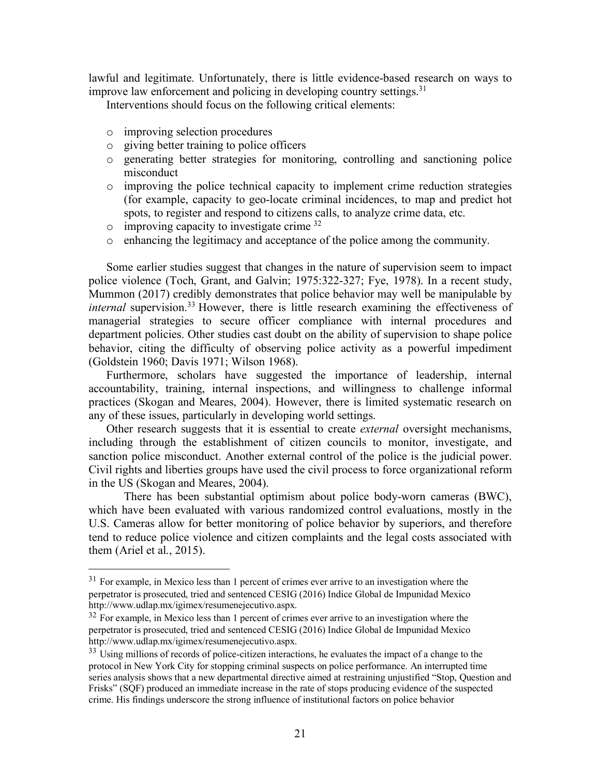lawful and legitimate. Unfortunately, there is little evidence-based research on ways to improve law enforcement and policing in developing country settings.<sup>31</sup>

Interventions should focus on the following critical elements:

- o improving selection procedures
- o giving better training to police officers
- o generating better strategies for monitoring, controlling and sanctioning police misconduct
- o improving the police technical capacity to implement crime reduction strategies (for example, capacity to geo-locate criminal incidences, to map and predict hot spots, to register and respond to citizens calls, to analyze crime data, etc.
- $\circ$  improving capacity to investigate crime  $32$
- o enhancing the legitimacy and acceptance of the police among the community.

Some earlier studies suggest that changes in the nature of supervision seem to impact police violence (Toch, Grant, and Galvin; 1975:322-327; Fye, 1978). In a recent study, Mummon (2017) credibly demonstrates that police behavior may well be manipulable by *internal* supervision.<sup>33</sup> However, there is little research examining the effectiveness of managerial strategies to secure officer compliance with internal procedures and department policies. Other studies cast doubt on the ability of supervision to shape police behavior, citing the difficulty of observing police activity as a powerful impediment (Goldstein 1960; Davis 1971; Wilson 1968).

Furthermore, scholars have suggested the importance of leadership, internal accountability, training, internal inspections, and willingness to challenge informal practices (Skogan and Meares, 2004). However, there is limited systematic research on any of these issues, particularly in developing world settings.

Other research suggests that it is essential to create *external* oversight mechanisms, including through the establishment of citizen councils to monitor, investigate, and sanction police misconduct. Another external control of the police is the judicial power. Civil rights and liberties groups have used the civil process to force organizational reform in the US (Skogan and Meares, 2004).

There has been substantial optimism about police body-worn cameras (BWC), which have been evaluated with various randomized control evaluations, mostly in the U.S. Cameras allow for better monitoring of police behavior by superiors, and therefore tend to reduce police violence and citizen complaints and the legal costs associated with them (Ariel et al., 2015).

<sup>&</sup>lt;sup>31</sup> For example, in Mexico less than 1 percent of crimes ever arrive to an investigation where the perpetrator is prosecuted, tried and sentenced CESIG (2016) Indice Global de Impunidad Mexico http://www.udlap.mx/igimex/resumenejecutivo.aspx.

<sup>&</sup>lt;sup>32</sup> For example, in Mexico less than 1 percent of crimes ever arrive to an investigation where the perpetrator is prosecuted, tried and sentenced CESIG (2016) Indice Global de Impunidad Mexico http://www.udlap.mx/igimex/resumenejecutivo.aspx.

<sup>&</sup>lt;sup>33</sup> Using millions of records of police-citizen interactions, he evaluates the impact of a change to the protocol in New York City for stopping criminal suspects on police performance. An interrupted time series analysis shows that a new departmental directive aimed at restraining unjustified "Stop, Question and Frisks" (SQF) produced an immediate increase in the rate of stops producing evidence of the suspected crime. His findings underscore the strong influence of institutional factors on police behavior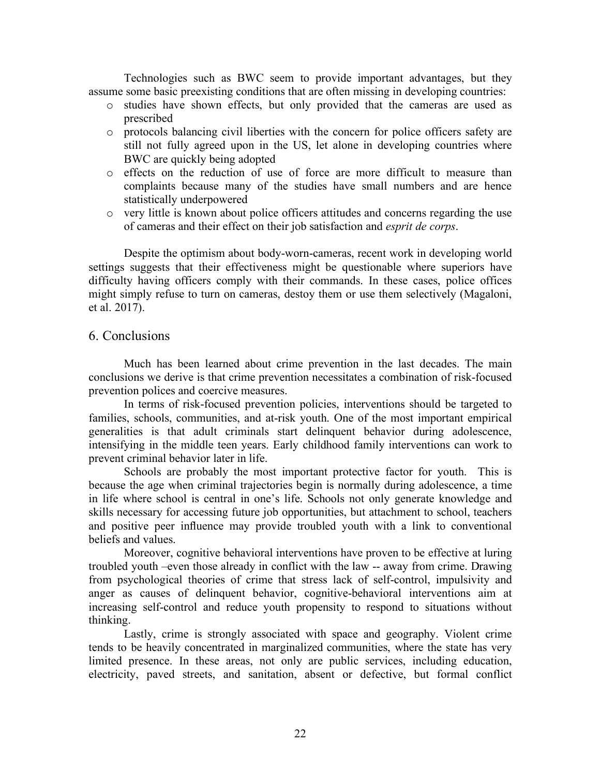Technologies such as BWC seem to provide important advantages, but they assume some basic preexisting conditions that are often missing in developing countries:

- o studies have shown effects, but only provided that the cameras are used as prescribed
- o protocols balancing civil liberties with the concern for police officers safety are still not fully agreed upon in the US, let alone in developing countries where BWC are quickly being adopted
- o effects on the reduction of use of force are more difficult to measure than complaints because many of the studies have small numbers and are hence statistically underpowered
- o very little is known about police officers attitudes and concerns regarding the use of cameras and their effect on their job satisfaction and *esprit de corps*.

Despite the optimism about body-worn-cameras, recent work in developing world settings suggests that their effectiveness might be questionable where superiors have difficulty having officers comply with their commands. In these cases, police offices might simply refuse to turn on cameras, destoy them or use them selectively (Magaloni, et al. 2017).

### 6. Conclusions

Much has been learned about crime prevention in the last decades. The main conclusions we derive is that crime prevention necessitates a combination of risk-focused prevention polices and coercive measures.

In terms of risk-focused prevention policies, interventions should be targeted to families, schools, communities, and at-risk youth. One of the most important empirical generalities is that adult criminals start delinquent behavior during adolescence, intensifying in the middle teen years. Early childhood family interventions can work to prevent criminal behavior later in life.

Schools are probably the most important protective factor for youth. This is because the age when criminal trajectories begin is normally during adolescence, a time in life where school is central in one's life. Schools not only generate knowledge and skills necessary for accessing future job opportunities, but attachment to school, teachers and positive peer influence may provide troubled youth with a link to conventional beliefs and values.

Moreover, cognitive behavioral interventions have proven to be effective at luring troubled youth –even those already in conflict with the law -- away from crime. Drawing from psychological theories of crime that stress lack of self-control, impulsivity and anger as causes of delinquent behavior, cognitive-behavioral interventions aim at increasing self-control and reduce youth propensity to respond to situations without thinking.

Lastly, crime is strongly associated with space and geography. Violent crime tends to be heavily concentrated in marginalized communities, where the state has very limited presence. In these areas, not only are public services, including education, electricity, paved streets, and sanitation, absent or defective, but formal conflict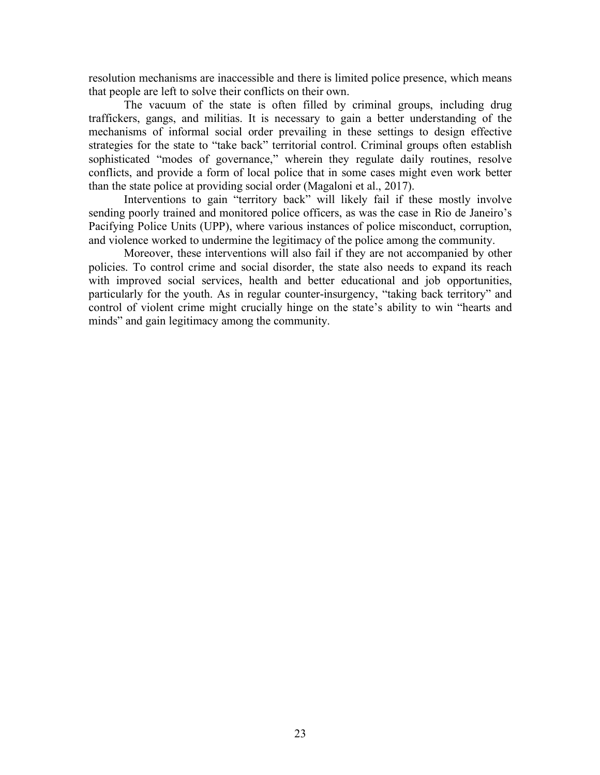resolution mechanisms are inaccessible and there is limited police presence, which means that people are left to solve their conflicts on their own.

The vacuum of the state is often filled by criminal groups, including drug traffickers, gangs, and militias. It is necessary to gain a better understanding of the mechanisms of informal social order prevailing in these settings to design effective strategies for the state to "take back" territorial control. Criminal groups often establish sophisticated "modes of governance," wherein they regulate daily routines, resolve conflicts, and provide a form of local police that in some cases might even work better than the state police at providing social order (Magaloni et al., 2017).

Interventions to gain "territory back" will likely fail if these mostly involve sending poorly trained and monitored police officers, as was the case in Rio de Janeiro's Pacifying Police Units (UPP), where various instances of police misconduct, corruption, and violence worked to undermine the legitimacy of the police among the community.

Moreover, these interventions will also fail if they are not accompanied by other policies. To control crime and social disorder, the state also needs to expand its reach with improved social services, health and better educational and job opportunities, particularly for the youth. As in regular counter-insurgency, "taking back territory" and control of violent crime might crucially hinge on the state's ability to win "hearts and minds" and gain legitimacy among the community.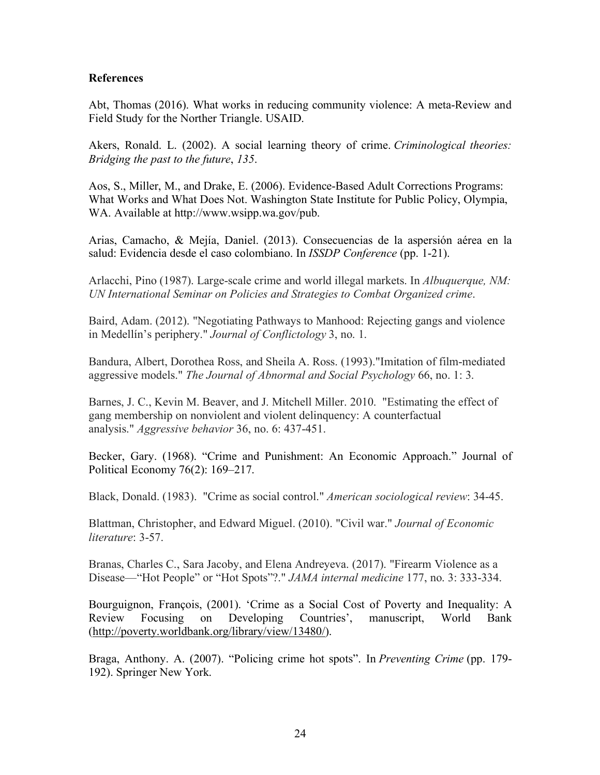### **References**

Abt, Thomas (2016). What works in reducing community violence: A meta-Review and Field Study for the Norther Triangle. USAID.

Akers, Ronald. L. (2002). A social learning theory of crime. *Criminological theories: Bridging the past to the future*, *135*.

Aos, S., Miller, M., and Drake, E. (2006). Evidence-Based Adult Corrections Programs: What Works and What Does Not. Washington State Institute for Public Policy, Olympia, WA. Available at http://www.wsipp.wa.gov/pub.

Arias, Camacho, & Mejía, Daniel. (2013). Consecuencias de la aspersión aérea en la salud: Evidencia desde el caso colombiano. In *ISSDP Conference* (pp. 1-21).

Arlacchi, Pino (1987). Large-scale crime and world illegal markets. In *Albuquerque, NM: UN International Seminar on Policies and Strategies to Combat Organized crime*.

Baird, Adam. (2012). "Negotiating Pathways to Manhood: Rejecting gangs and violence in Medellín's periphery." *Journal of Conflictology* 3, no. 1.

Bandura, Albert, Dorothea Ross, and Sheila A. Ross. (1993)."Imitation of film-mediated aggressive models." *The Journal of Abnormal and Social Psychology* 66, no. 1: 3.

Barnes, J. C., Kevin M. Beaver, and J. Mitchell Miller. 2010. "Estimating the effect of gang membership on nonviolent and violent delinquency: A counterfactual analysis." *Aggressive behavior* 36, no. 6: 437-451.

Becker, Gary. (1968). "Crime and Punishment: An Economic Approach." Journal of Political Economy 76(2): 169–217.

Black, Donald. (1983). "Crime as social control." *American sociological review*: 34-45.

Blattman, Christopher, and Edward Miguel. (2010). "Civil war." *Journal of Economic literature*: 3-57.

Branas, Charles C., Sara Jacoby, and Elena Andreyeva. (2017). "Firearm Violence as a Disease—"Hot People" or "Hot Spots"?." *JAMA internal medicine* 177, no. 3: 333-334.

Bourguignon, François, (2001). 'Crime as a Social Cost of Poverty and Inequality: A Review Focusing on Developing Countries', manuscript, World Bank (http://poverty.worldbank.org/library/view/13480/).

Braga, Anthony. A. (2007). "Policing crime hot spots". In *Preventing Crime* (pp. 179- 192). Springer New York.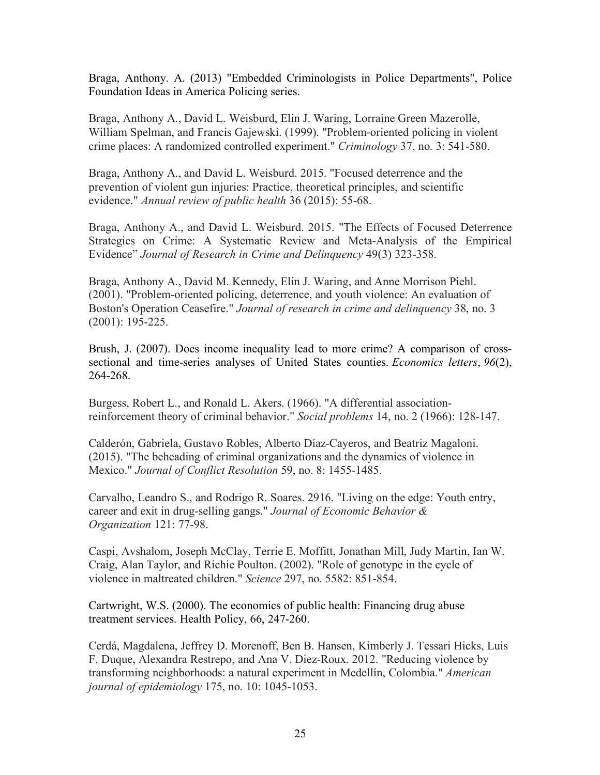Braga, Anthony. A. (2013) "Embedded Criminologists in Police Departments", Police Foundation Ideas in America Policing series.

Braga, Anthony A., David L. Weisburd, Elin J. Waring, Lorraine Green Mazerolle, William Spelman, and Francis Gajewski. (1999). "Problem-oriented policing in violent crime places: A randomized controlled experiment." *Criminology* 37, no. 3: 541-580.

Braga, Anthony A., and David L. Weisburd. 2015. "Focused deterrence and the prevention of violent gun injuries: Practice, theoretical principles, and scientific evidence." *Annual review of public health* 36 (2015): 55-68.

Braga, Anthony A., and David L. Weisburd. 2015. "The Effects of Focused Deterrence Strategies on Crime: A Systematic Review and Meta-Analysis of the Empirical Evidence" *Journal of Research in Crime and Delinquency* 49(3) 323-358.

Braga, Anthony A., David M. Kennedy, Elin J. Waring, and Anne Morrison Piehl. (2001). "Problem-oriented policing, deterrence, and youth violence: An evaluation of Boston's Operation Ceasefire." *Journal of research in crime and delinquency* 38, no. 3 (2001): 195-225.

Brush, J. (2007). Does income inequality lead to more crime? A comparison of crosssectional and time-series analyses of United States counties. *Economics letters*, *96*(2), 264-268.

Burgess, Robert L., and Ronald L. Akers. (1966). "A differential associationreinforcement theory of criminal behavior." *Social problems* 14, no. 2 (1966): 128-147.

Calderón, Gabriela, Gustavo Robles, Alberto Díaz-Cayeros, and Beatriz Magaloni. (2015). "The beheading of criminal organizations and the dynamics of violence in Mexico." *Journal of Conflict Resolution* 59, no. 8: 1455-1485.

Carvalho, Leandro S., and Rodrigo R. Soares. 2916. "Living on the edge: Youth entry, career and exit in drug-selling gangs." *Journal of Economic Behavior & Organization* 121: 77-98.

Caspi, Avshalom, Joseph McClay, Terrie E. Moffitt, Jonathan Mill, Judy Martin, Ian W. Craig, Alan Taylor, and Richie Poulton. (2002). "Role of genotype in the cycle of violence in maltreated children." *Science* 297, no. 5582: 851-854.

Cartwright, W.S. (2000). The economics of public health: Financing drug abuse treatment services. Health Policy, 66, 247-260.

Cerdá, Magdalena, Jeffrey D. Morenoff, Ben B. Hansen, Kimberly J. Tessari Hicks, Luis F. Duque, Alexandra Restrepo, and Ana V. Diez-Roux. 2012. "Reducing violence by transforming neighborhoods: a natural experiment in Medellín, Colombia." *American journal of epidemiology* 175, no. 10: 1045-1053.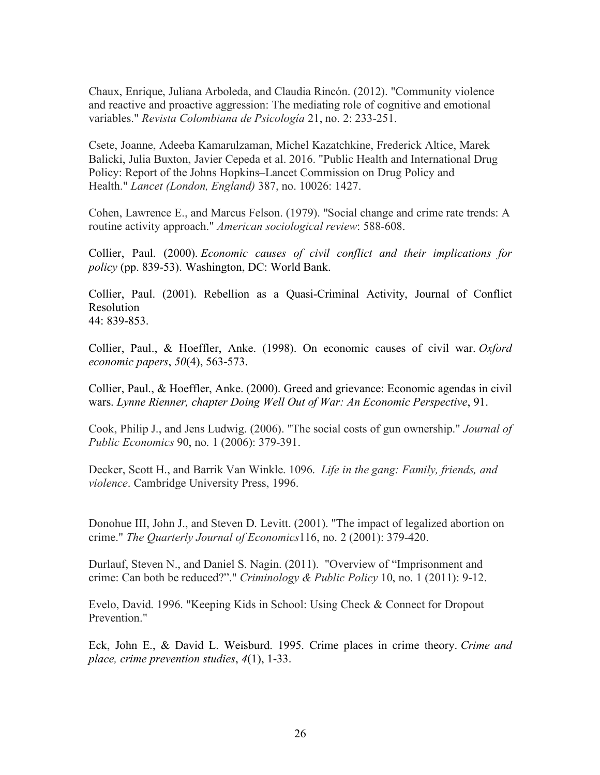Chaux, Enrique, Juliana Arboleda, and Claudia Rincón. (2012). "Community violence and reactive and proactive aggression: The mediating role of cognitive and emotional variables." *Revista Colombiana de Psicología* 21, no. 2: 233-251.

Csete, Joanne, Adeeba Kamarulzaman, Michel Kazatchkine, Frederick Altice, Marek Balicki, Julia Buxton, Javier Cepeda et al. 2016. "Public Health and International Drug Policy: Report of the Johns Hopkins–Lancet Commission on Drug Policy and Health." *Lancet (London, England)* 387, no. 10026: 1427.

Cohen, Lawrence E., and Marcus Felson. (1979). "Social change and crime rate trends: A routine activity approach." *American sociological review*: 588-608.

Collier, Paul. (2000). *Economic causes of civil conflict and their implications for policy* (pp. 839-53). Washington, DC: World Bank.

Collier, Paul. (2001). Rebellion as a Quasi-Criminal Activity, Journal of Conflict Resolution 44: 839-853.

Collier, Paul., & Hoeffler, Anke. (1998). On economic causes of civil war. *Oxford economic papers*, *50*(4), 563-573.

Collier, Paul., & Hoeffler, Anke. (2000). Greed and grievance: Economic agendas in civil wars. *Lynne Rienner, chapter Doing Well Out of War: An Economic Perspective*, 91.

Cook, Philip J., and Jens Ludwig. (2006). "The social costs of gun ownership." *Journal of Public Economics* 90, no. 1 (2006): 379-391.

Decker, Scott H., and Barrik Van Winkle. 1096. *Life in the gang: Family, friends, and violence*. Cambridge University Press, 1996.

Donohue III, John J., and Steven D. Levitt. (2001). "The impact of legalized abortion on crime." *The Quarterly Journal of Economics*116, no. 2 (2001): 379-420.

Durlauf, Steven N., and Daniel S. Nagin. (2011). "Overview of "Imprisonment and crime: Can both be reduced?"." *Criminology & Public Policy* 10, no. 1 (2011): 9-12.

Evelo, David. 1996. "Keeping Kids in School: Using Check & Connect for Dropout Prevention."

Eck, John E., & David L. Weisburd. 1995. Crime places in crime theory. *Crime and place, crime prevention studies*, *4*(1), 1-33.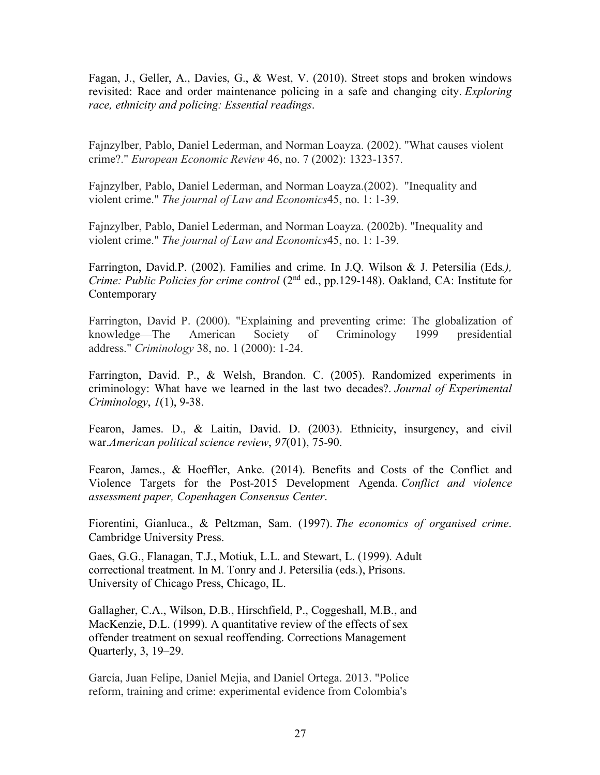Fagan, J., Geller, A., Davies, G., & West, V. (2010). Street stops and broken windows revisited: Race and order maintenance policing in a safe and changing city. *Exploring race, ethnicity and policing: Essential readings*.

Fajnzylber, Pablo, Daniel Lederman, and Norman Loayza. (2002). "What causes violent crime?." *European Economic Review* 46, no. 7 (2002): 1323-1357.

Fajnzylber, Pablo, Daniel Lederman, and Norman Loayza.(2002). "Inequality and violent crime." *The journal of Law and Economics*45, no. 1: 1-39.

Fajnzylber, Pablo, Daniel Lederman, and Norman Loayza. (2002b). "Inequality and violent crime." *The journal of Law and Economics*45, no. 1: 1-39.

Farrington, David.P. (2002). Families and crime. In J.Q. Wilson & J. Petersilia (Eds*.), Crime: Public Policies for crime control* (2<sup>nd</sup> ed., pp.129-148). Oakland, CA: Institute for Contemporary

Farrington, David P. (2000). "Explaining and preventing crime: The globalization of knowledge—The American Society of Criminology 1999 presidential address." *Criminology* 38, no. 1 (2000): 1-24.

Farrington, David. P., & Welsh, Brandon. C. (2005). Randomized experiments in criminology: What have we learned in the last two decades?. *Journal of Experimental Criminology*, *1*(1), 9-38.

Fearon, James. D., & Laitin, David. D. (2003). Ethnicity, insurgency, and civil war.*American political science review*, *97*(01), 75-90.

Fearon, James., & Hoeffler, Anke. (2014). Benefits and Costs of the Conflict and Violence Targets for the Post-2015 Development Agenda. *Conflict and violence assessment paper, Copenhagen Consensus Center*.

Fiorentini, Gianluca., & Peltzman, Sam. (1997). *The economics of organised crime*. Cambridge University Press.

Gaes, G.G., Flanagan, T.J., Motiuk, L.L. and Stewart, L. (1999). Adult correctional treatment. In M. Tonry and J. Petersilia (eds.), Prisons. University of Chicago Press, Chicago, IL.

Gallagher, C.A., Wilson, D.B., Hirschfield, P., Coggeshall, M.B., and MacKenzie, D.L. (1999). A quantitative review of the effects of sex offender treatment on sexual reoffending. Corrections Management Quarterly, 3, 19–29.

García, Juan Felipe, Daniel Mejia, and Daniel Ortega. 2013. "Police reform, training and crime: experimental evidence from Colombia's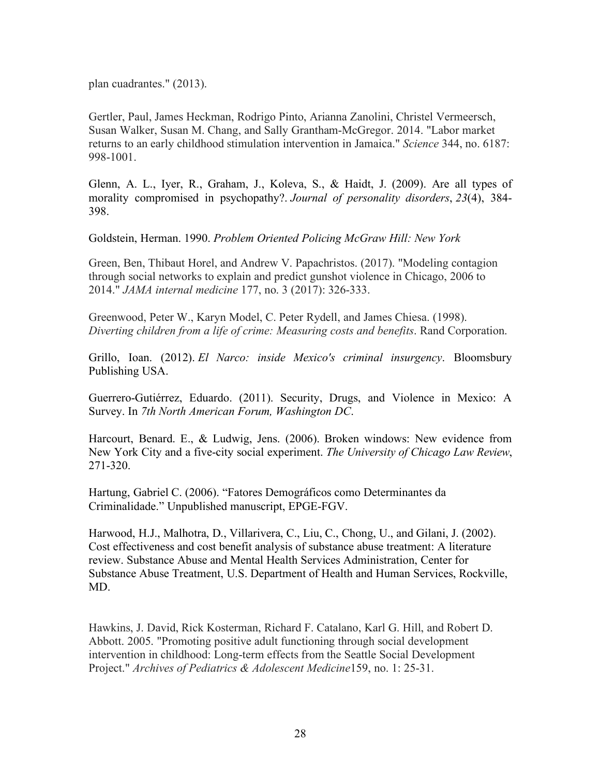plan cuadrantes." (2013).

Gertler, Paul, James Heckman, Rodrigo Pinto, Arianna Zanolini, Christel Vermeersch, Susan Walker, Susan M. Chang, and Sally Grantham-McGregor. 2014. "Labor market returns to an early childhood stimulation intervention in Jamaica." *Science* 344, no. 6187: 998-1001.

Glenn, A. L., Iyer, R., Graham, J., Koleva, S., & Haidt, J. (2009). Are all types of morality compromised in psychopathy?. *Journal of personality disorders*, *23*(4), 384- 398.

Goldstein, Herman. 1990. *Problem Oriented Policing McGraw Hill: New York*

Green, Ben, Thibaut Horel, and Andrew V. Papachristos. (2017). "Modeling contagion through social networks to explain and predict gunshot violence in Chicago, 2006 to 2014." *JAMA internal medicine* 177, no. 3 (2017): 326-333.

Greenwood, Peter W., Karyn Model, C. Peter Rydell, and James Chiesa. (1998). *Diverting children from a life of crime: Measuring costs and benefits*. Rand Corporation.

Grillo, Ioan. (2012). *El Narco: inside Mexico's criminal insurgency*. Bloomsbury Publishing USA.

Guerrero-Gutiérrez, Eduardo. (2011). Security, Drugs, and Violence in Mexico: A Survey. In *7th North American Forum, Washington DC*.

Harcourt, Benard. E., & Ludwig, Jens. (2006). Broken windows: New evidence from New York City and a five-city social experiment. *The University of Chicago Law Review*, 271-320.

Hartung, Gabriel C. (2006). "Fatores Demográficos como Determinantes da Criminalidade." Unpublished manuscript, EPGE-FGV.

Harwood, H.J., Malhotra, D., Villarivera, C., Liu, C., Chong, U., and Gilani, J. (2002). Cost effectiveness and cost benefit analysis of substance abuse treatment: A literature review. Substance Abuse and Mental Health Services Administration, Center for Substance Abuse Treatment, U.S. Department of Health and Human Services, Rockville, MD.

Hawkins, J. David, Rick Kosterman, Richard F. Catalano, Karl G. Hill, and Robert D. Abbott. 2005. "Promoting positive adult functioning through social development intervention in childhood: Long-term effects from the Seattle Social Development Project." *Archives of Pediatrics & Adolescent Medicine*159, no. 1: 25-31.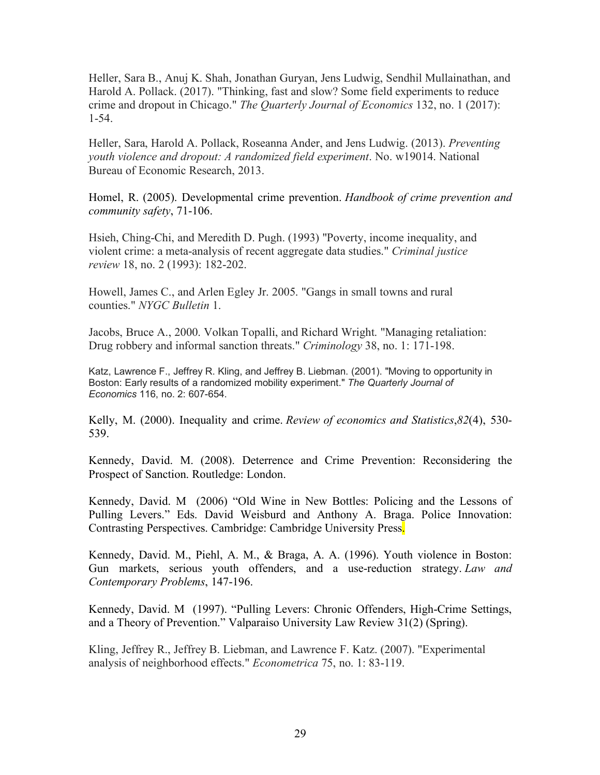Heller, Sara B., Anuj K. Shah, Jonathan Guryan, Jens Ludwig, Sendhil Mullainathan, and Harold A. Pollack. (2017). "Thinking, fast and slow? Some field experiments to reduce crime and dropout in Chicago." *The Quarterly Journal of Economics* 132, no. 1 (2017): 1-54.

Heller, Sara, Harold A. Pollack, Roseanna Ander, and Jens Ludwig. (2013). *Preventing youth violence and dropout: A randomized field experiment*. No. w19014. National Bureau of Economic Research, 2013.

Homel, R. (2005). Developmental crime prevention. *Handbook of crime prevention and community safety*, 71-106.

Hsieh, Ching-Chi, and Meredith D. Pugh. (1993) "Poverty, income inequality, and violent crime: a meta-analysis of recent aggregate data studies." *Criminal justice review* 18, no. 2 (1993): 182-202.

Howell, James C., and Arlen Egley Jr. 2005. "Gangs in small towns and rural counties." *NYGC Bulletin* 1.

Jacobs, Bruce A., 2000. Volkan Topalli, and Richard Wright. "Managing retaliation: Drug robbery and informal sanction threats." *Criminology* 38, no. 1: 171-198.

Katz, Lawrence F., Jeffrey R. Kling, and Jeffrey B. Liebman. (2001). "Moving to opportunity in Boston: Early results of a randomized mobility experiment." *The Quarterly Journal of Economics* 116, no. 2: 607-654.

Kelly, M. (2000). Inequality and crime. *Review of economics and Statistics*,*82*(4), 530- 539.

Kennedy, David. M. (2008). Deterrence and Crime Prevention: Reconsidering the Prospect of Sanction. Routledge: London.

Kennedy, David. M (2006) "Old Wine in New Bottles: Policing and the Lessons of Pulling Levers." Eds. David Weisburd and Anthony A. Braga. Police Innovation: Contrasting Perspectives. Cambridge: Cambridge University Press.

Kennedy, David. M., Piehl, A. M., & Braga, A. A. (1996). Youth violence in Boston: Gun markets, serious youth offenders, and a use-reduction strategy. *Law and Contemporary Problems*, 147-196.

Kennedy, David. M (1997). "Pulling Levers: Chronic Offenders, High-Crime Settings, and a Theory of Prevention." Valparaiso University Law Review 31(2) (Spring).

Kling, Jeffrey R., Jeffrey B. Liebman, and Lawrence F. Katz. (2007). "Experimental analysis of neighborhood effects." *Econometrica* 75, no. 1: 83-119.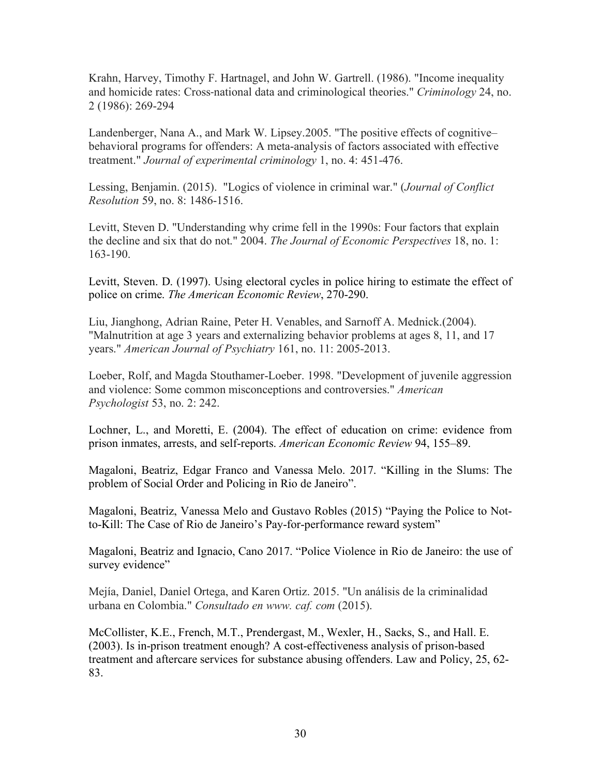Krahn, Harvey, Timothy F. Hartnagel, and John W. Gartrell. (1986). "Income inequality and homicide rates: Cross-national data and criminological theories." *Criminology* 24, no. 2 (1986): 269-294

Landenberger, Nana A., and Mark W. Lipsey.2005. "The positive effects of cognitive– behavioral programs for offenders: A meta-analysis of factors associated with effective treatment." *Journal of experimental criminology* 1, no. 4: 451-476.

Lessing, Benjamin. (2015). "Logics of violence in criminal war." (*Journal of Conflict Resolution* 59, no. 8: 1486-1516.

Levitt, Steven D. "Understanding why crime fell in the 1990s: Four factors that explain the decline and six that do not." 2004. *The Journal of Economic Perspectives* 18, no. 1: 163-190.

Levitt, Steven. D. (1997). Using electoral cycles in police hiring to estimate the effect of police on crime. *The American Economic Review*, 270-290.

Liu, Jianghong, Adrian Raine, Peter H. Venables, and Sarnoff A. Mednick.(2004). "Malnutrition at age 3 years and externalizing behavior problems at ages 8, 11, and 17 years." *American Journal of Psychiatry* 161, no. 11: 2005-2013.

Loeber, Rolf, and Magda Stouthamer-Loeber. 1998. "Development of juvenile aggression and violence: Some common misconceptions and controversies." *American Psychologist* 53, no. 2: 242.

Lochner, L., and Moretti, E. (2004). The effect of education on crime: evidence from prison inmates, arrests, and self-reports. *American Economic Review* 94, 155–89.

Magaloni, Beatriz, Edgar Franco and Vanessa Melo. 2017. "Killing in the Slums: The problem of Social Order and Policing in Rio de Janeiro".

Magaloni, Beatriz, Vanessa Melo and Gustavo Robles (2015) "Paying the Police to Notto-Kill: The Case of Rio de Janeiro's Pay-for-performance reward system"

Magaloni, Beatriz and Ignacio, Cano 2017. "Police Violence in Rio de Janeiro: the use of survey evidence"

Mejía, Daniel, Daniel Ortega, and Karen Ortiz. 2015. "Un análisis de la criminalidad urbana en Colombia." *Consultado en www. caf. com* (2015).

McCollister, K.E., French, M.T., Prendergast, M., Wexler, H., Sacks, S., and Hall. E. (2003). Is in-prison treatment enough? A cost-effectiveness analysis of prison-based treatment and aftercare services for substance abusing offenders. Law and Policy, 25, 62- 83.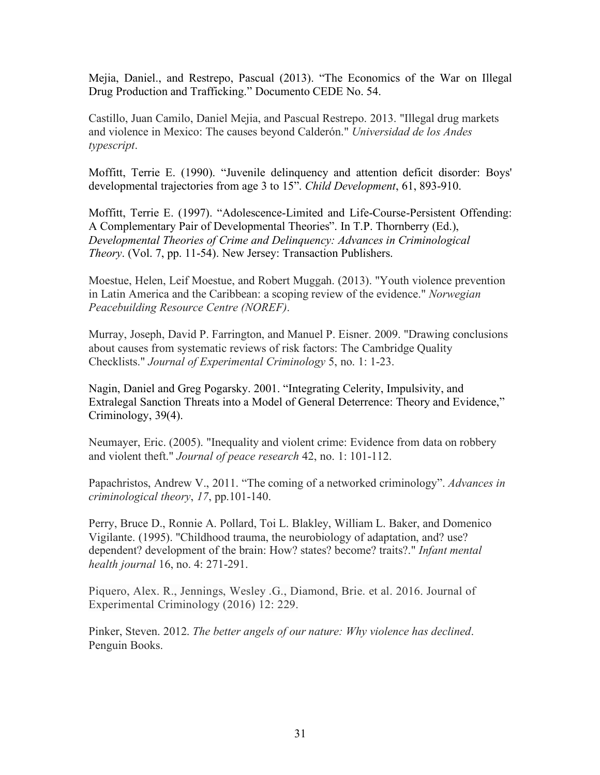Mejia, Daniel., and Restrepo, Pascual (2013). "The Economics of the War on Illegal Drug Production and Trafficking." Documento CEDE No. 54.

Castillo, Juan Camilo, Daniel Mejia, and Pascual Restrepo. 2013. "Illegal drug markets and violence in Mexico: The causes beyond Calderón." *Universidad de los Andes typescript*.

Moffitt, Terrie E. (1990). "Juvenile delinquency and attention deficit disorder: Boys' developmental trajectories from age 3 to 15". *Child Development*, 61, 893-910.

Moffitt, Terrie E. (1997). "Adolescence-Limited and Life-Course-Persistent Offending: A Complementary Pair of Developmental Theories". In T.P. Thornberry (Ed.), *Developmental Theories of Crime and Delinquency: Advances in Criminological Theory*. (Vol. 7, pp. 11-54). New Jersey: Transaction Publishers.

Moestue, Helen, Leif Moestue, and Robert Muggah. (2013). "Youth violence prevention in Latin America and the Caribbean: a scoping review of the evidence." *Norwegian Peacebuilding Resource Centre (NOREF)*.

Murray, Joseph, David P. Farrington, and Manuel P. Eisner. 2009. "Drawing conclusions about causes from systematic reviews of risk factors: The Cambridge Quality Checklists." *Journal of Experimental Criminology* 5, no. 1: 1-23.

Nagin, Daniel and Greg Pogarsky. 2001. "Integrating Celerity, Impulsivity, and Extralegal Sanction Threats into a Model of General Deterrence: Theory and Evidence," Criminology, 39(4).

Neumayer, Eric. (2005). "Inequality and violent crime: Evidence from data on robbery and violent theft." *Journal of peace research* 42, no. 1: 101-112.

Papachristos, Andrew V., 2011. "The coming of a networked criminology". *Advances in criminological theory*, *17*, pp.101-140.

Perry, Bruce D., Ronnie A. Pollard, Toi L. Blakley, William L. Baker, and Domenico Vigilante. (1995). "Childhood trauma, the neurobiology of adaptation, and? use? dependent? development of the brain: How? states? become? traits?." *Infant mental health journal* 16, no. 4: 271-291.

Piquero, Alex. R., Jennings, Wesley .G., Diamond, Brie. et al. 2016. Journal of Experimental Criminology (2016) 12: 229.

Pinker, Steven. 2012. *The better angels of our nature: Why violence has declined*. Penguin Books.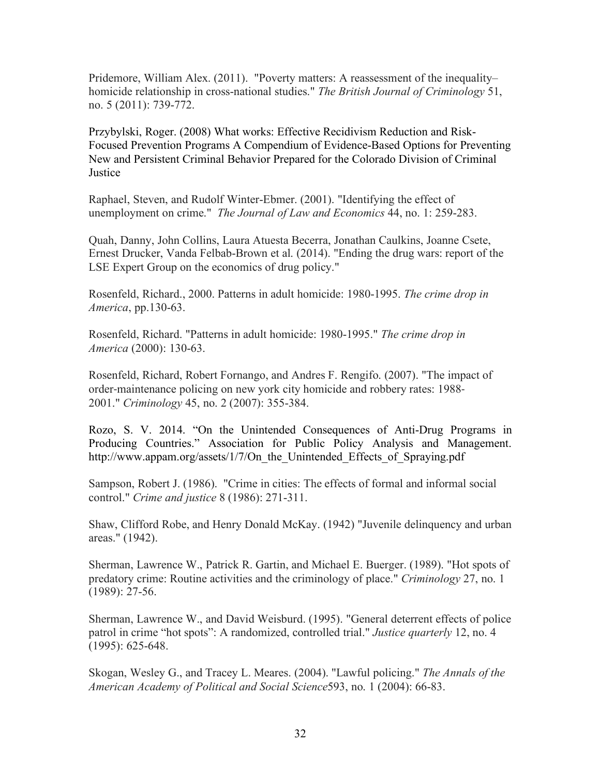Pridemore, William Alex. (2011). "Poverty matters: A reassessment of the inequality– homicide relationship in cross-national studies." *The British Journal of Criminology* 51, no. 5 (2011): 739-772.

Przybylski, Roger. (2008) What works: Effective Recidivism Reduction and Risk-Focused Prevention Programs A Compendium of Evidence-Based Options for Preventing New and Persistent Criminal Behavior Prepared for the Colorado Division of Criminal **Justice** 

Raphael, Steven, and Rudolf Winter-Ebmer. (2001). "Identifying the effect of unemployment on crime." *The Journal of Law and Economics* 44, no. 1: 259-283.

Quah, Danny, John Collins, Laura Atuesta Becerra, Jonathan Caulkins, Joanne Csete, Ernest Drucker, Vanda Felbab-Brown et al. (2014). "Ending the drug wars: report of the LSE Expert Group on the economics of drug policy."

Rosenfeld, Richard., 2000. Patterns in adult homicide: 1980-1995. *The crime drop in America*, pp.130-63.

Rosenfeld, Richard. "Patterns in adult homicide: 1980-1995." *The crime drop in America* (2000): 130-63.

Rosenfeld, Richard, Robert Fornango, and Andres F. Rengifo. (2007). "The impact of order-maintenance policing on new york city homicide and robbery rates: 1988- 2001." *Criminology* 45, no. 2 (2007): 355-384.

Rozo, S. V. 2014. "On the Unintended Consequences of Anti-Drug Programs in Producing Countries." Association for Public Policy Analysis and Management. http://www.appam.org/assets/1/7/On\_the\_Unintended\_Effects\_of\_Spraying.pdf

Sampson, Robert J. (1986). "Crime in cities: The effects of formal and informal social control." *Crime and justice* 8 (1986): 271-311.

Shaw, Clifford Robe, and Henry Donald McKay. (1942) "Juvenile delinquency and urban areas." (1942).

Sherman, Lawrence W., Patrick R. Gartin, and Michael E. Buerger. (1989). "Hot spots of predatory crime: Routine activities and the criminology of place." *Criminology* 27, no. 1 (1989): 27-56.

Sherman, Lawrence W., and David Weisburd. (1995). "General deterrent effects of police patrol in crime "hot spots": A randomized, controlled trial." *Justice quarterly* 12, no. 4 (1995): 625-648.

Skogan, Wesley G., and Tracey L. Meares. (2004). "Lawful policing." *The Annals of the American Academy of Political and Social Science*593, no. 1 (2004): 66-83.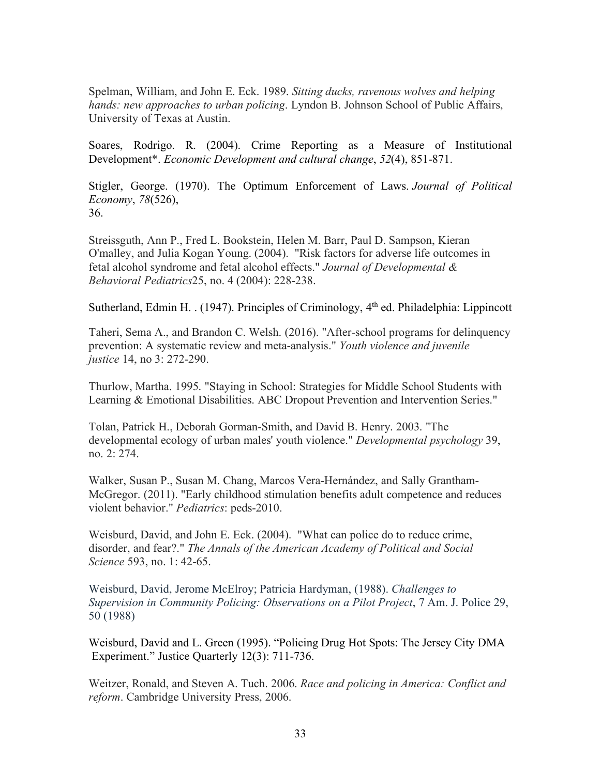Spelman, William, and John E. Eck. 1989. *Sitting ducks, ravenous wolves and helping hands: new approaches to urban policing*. Lyndon B. Johnson School of Public Affairs, University of Texas at Austin.

Soares, Rodrigo. R. (2004). Crime Reporting as a Measure of Institutional Development\*. *Economic Development and cultural change*, *52*(4), 851-871.

Stigler, George. (1970). The Optimum Enforcement of Laws. *Journal of Political Economy*, *78*(526), 36.

Streissguth, Ann P., Fred L. Bookstein, Helen M. Barr, Paul D. Sampson, Kieran O'malley, and Julia Kogan Young. (2004). "Risk factors for adverse life outcomes in fetal alcohol syndrome and fetal alcohol effects." *Journal of Developmental & Behavioral Pediatrics*25, no. 4 (2004): 228-238.

Sutherland, Edmin H. . (1947). Principles of Criminology, 4<sup>th</sup> ed. Philadelphia: Lippincott

Taheri, Sema A., and Brandon C. Welsh. (2016). "After-school programs for delinquency prevention: A systematic review and meta-analysis." *Youth violence and juvenile justice* 14, no 3: 272-290.

Thurlow, Martha. 1995. "Staying in School: Strategies for Middle School Students with Learning & Emotional Disabilities. ABC Dropout Prevention and Intervention Series."

Tolan, Patrick H., Deborah Gorman-Smith, and David B. Henry. 2003. "The developmental ecology of urban males' youth violence." *Developmental psychology* 39, no. 2: 274.

Walker, Susan P., Susan M. Chang, Marcos Vera-Hernández, and Sally Grantham-McGregor. (2011). "Early childhood stimulation benefits adult competence and reduces violent behavior." *Pediatrics*: peds-2010.

Weisburd, David, and John E. Eck. (2004). "What can police do to reduce crime, disorder, and fear?." *The Annals of the American Academy of Political and Social Science* 593, no. 1: 42-65.

Weisburd, David, Jerome McElroy; Patricia Hardyman, (1988). *Challenges to Supervision in Community Policing: Observations on a Pilot Project*, 7 Am. J. Police 29, 50 (1988)

Weisburd, David and L. Green (1995). "Policing Drug Hot Spots: The Jersey City DMA Experiment." Justice Quarterly 12(3): 711-736.

Weitzer, Ronald, and Steven A. Tuch. 2006. *Race and policing in America: Conflict and reform*. Cambridge University Press, 2006.